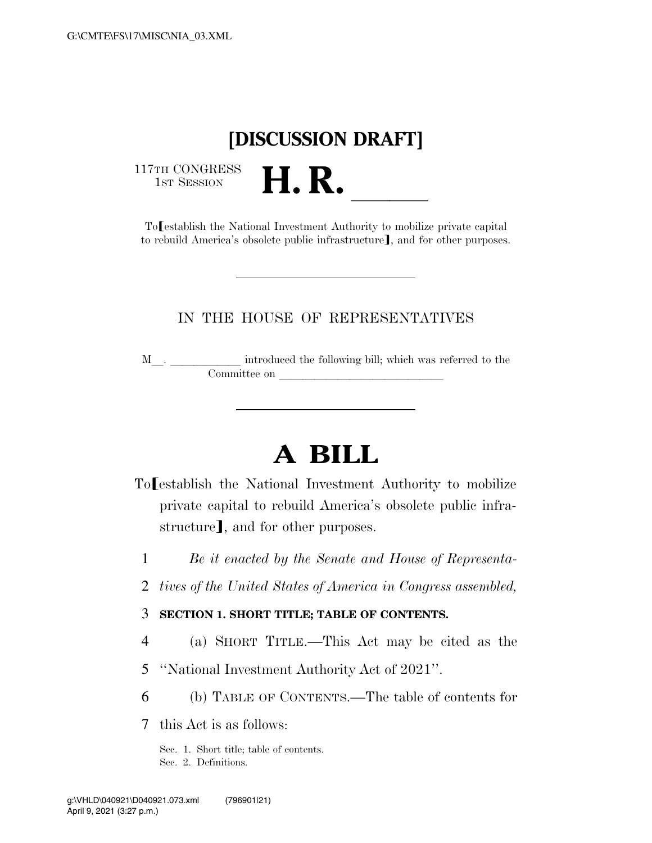# **[DISCUSSION DRAFT]**

117TH CONGRESS<br>1st Session

1ST H CONGRESS<br>
To<br>
To<br> **H. R.** <br>
To<br> **H. R.** <br>
To<br>
To<br>
Istablish the National Investment Authority to mobilize private capital to rebuild America's obsolete public infrastructure], and for other purposes.

# IN THE HOUSE OF REPRESENTATIVES

<sup>M</sup>l. llllll introduced the following bill; which was referred to the Committee on later and later than the committee on later and later than the committee on later and later  $\sim$ 

# **A BILL**

- To establish the National Investment Authority to mobilize private capital to rebuild America's obsolete public infrastructure], and for other purposes.
	- 1 *Be it enacted by the Senate and House of Representa-*
	- 2 *tives of the United States of America in Congress assembled,*
	- 3 **SECTION 1. SHORT TITLE; TABLE OF CONTENTS.**
	- 4 (a) SHORT TITLE.—This Act may be cited as the
	- 5 ''National Investment Authority Act of 2021''.
	- 6 (b) TABLE OF CONTENTS.—The table of contents for
	- 7 this Act is as follows:

Sec. 1. Short title; table of contents. Sec. 2. Definitions.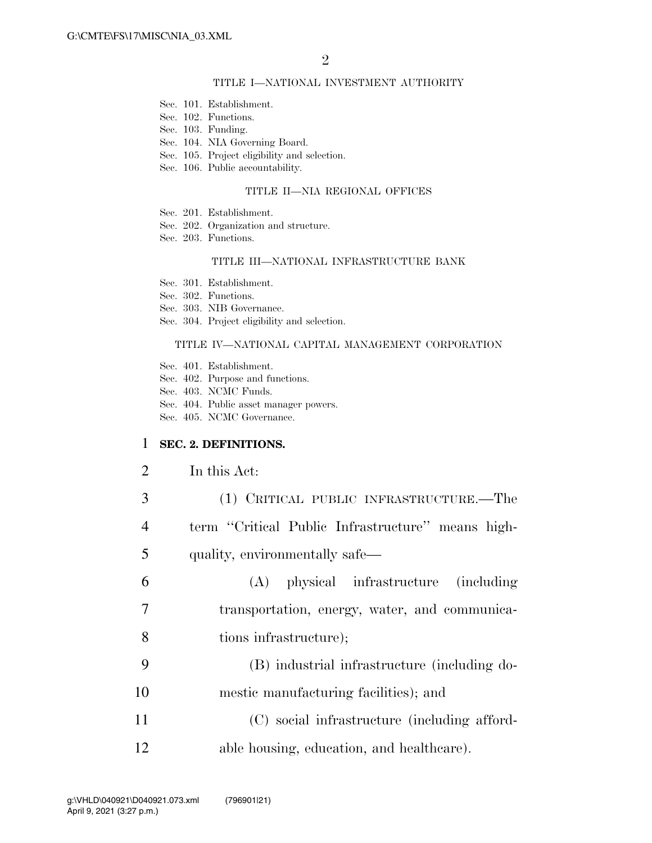### TITLE I—NATIONAL INVESTMENT AUTHORITY

- Sec. 101. Establishment.
- Sec. 102. Functions.
- Sec. 103. Funding.
- Sec. 104. NIA Governing Board.
- Sec. 105. Project eligibility and selection.
- Sec. 106. Public accountability.

#### TITLE II—NIA REGIONAL OFFICES

- Sec. 201. Establishment.
- Sec. 202. Organization and structure.
- Sec. 203. Functions.

#### TITLE III—NATIONAL INFRASTRUCTURE BANK

- Sec. 301. Establishment.
- Sec. 302. Functions.

Sec. 303. NIB Governance.

Sec. 304. Project eligibility and selection.

#### TITLE IV—NATIONAL CAPITAL MANAGEMENT CORPORATION

- Sec. 401. Establishment.
- Sec. 402. Purpose and functions.
- Sec. 403. NCMC Funds.
- Sec. 404. Public asset manager powers.
- Sec. 405. NCMC Governance.

#### 1 **SEC. 2. DEFINITIONS.**

#### 2 In this Act:

- 3 (1) CRITICAL PUBLIC INFRASTRUCTURE.—The 4 term ''Critical Public Infrastructure'' means high-5 quality, environmentally safe—
- 6 (A) physical infrastructure (including 7 transportation, energy, water, and communica-8 tions infrastructure);
- 9 (B) industrial infrastructure (including do-10 mestic manufacturing facilities); and
- 11 (C) social infrastructure (including afford-12 able housing, education, and healthcare).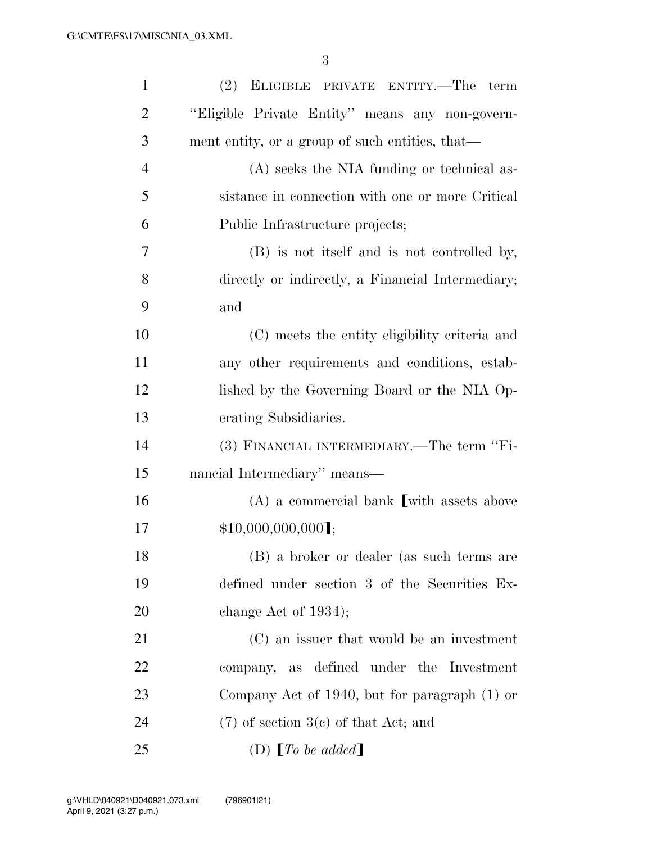| $\mathbf{1}$   | (2)<br>ELIGIBLE PRIVATE ENTITY.—The term          |
|----------------|---------------------------------------------------|
| $\overline{2}$ | "Eligible Private Entity" means any non-govern-   |
| 3              | ment entity, or a group of such entities, that—   |
| $\overline{4}$ | (A) seeks the NIA funding or technical as-        |
| 5              | sistance in connection with one or more Critical  |
| 6              | Public Infrastructure projects;                   |
| 7              | (B) is not itself and is not controlled by,       |
| 8              | directly or indirectly, a Financial Intermediary; |
| 9              | and                                               |
| 10             | (C) meets the entity eligibility criteria and     |
| 11             | any other requirements and conditions, estab-     |
| 12             | lished by the Governing Board or the NIA Op-      |
| 13             | erating Subsidiaries.                             |
| 14             | (3) FINANCIAL INTERMEDIARY.—The term "Fi-         |
| 15             | nancial Intermediary" means—                      |
| 16             | $(A)$ a commercial bank [with assets above        |
| 17             | $$10,000,000,000$ ];                              |
| 18             | (B) a broker or dealer (as such terms are         |
| 19             | defined under section 3 of the Securities Ex-     |
| 20             | change Act of $1934$ ;                            |
| 21             | (C) an issuer that would be an investment         |
| 22             | company, as defined under the Investment          |
| 23             | Company Act of 1940, but for paragraph $(1)$ or   |
| 24             | $(7)$ of section 3(c) of that Act; and            |
| 25             | (D) $\llbracket To \ be \ added \rrbracket$       |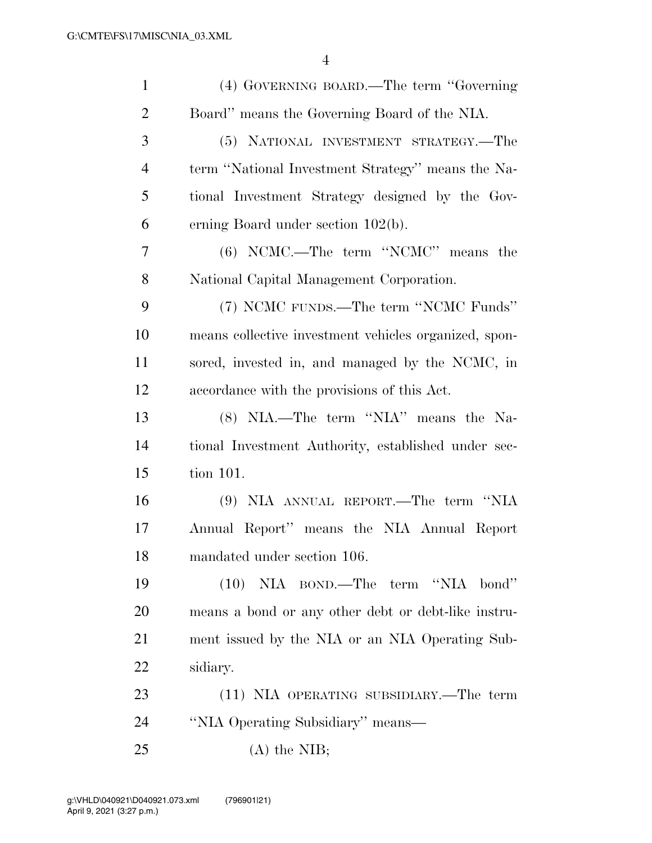| $\mathbf{1}$   | (4) GOVERNING BOARD.—The term "Governing"             |
|----------------|-------------------------------------------------------|
| $\overline{2}$ | Board" means the Governing Board of the NIA.          |
| 3              | (5) NATIONAL INVESTMENT STRATEGY.—The                 |
| $\overline{4}$ | term "National Investment Strategy" means the Na-     |
| 5              | tional Investment Strategy designed by the Gov-       |
| 6              | erning Board under section $102(b)$ .                 |
| 7              | (6) NCMC.—The term "NCMC" means the                   |
| 8              | National Capital Management Corporation.              |
| 9              | (7) NCMC FUNDS.—The term "NCMC Funds"                 |
| 10             | means collective investment vehicles organized, spon- |
| 11             | sored, invested in, and managed by the NCMC, in       |
| 12             | accordance with the provisions of this Act.           |
| 13             | (8) NIA.—The term "NIA" means the Na-                 |
| 14             | tional Investment Authority, established under sec-   |
| 15             | tion 101.                                             |
| 16             | (9) NIA ANNUAL REPORT.—The term "NIA                  |
| 17             | Annual Report" means the NIA Annual Report            |
| 18             | mandated under section 106.                           |
| 19             | $(10)$ NIA BOND.—The term "NIA bond"                  |
| 20             | means a bond or any other debt or debt-like instru-   |
| 21             | ment issued by the NIA or an NIA Operating Sub-       |
| 22             | sidiary.                                              |
| 23             | (11) NIA OPERATING SUBSIDIARY.—The term               |
| 24             | "NIA Operating Subsidiary" means—                     |
| 25             | $(A)$ the NIB;                                        |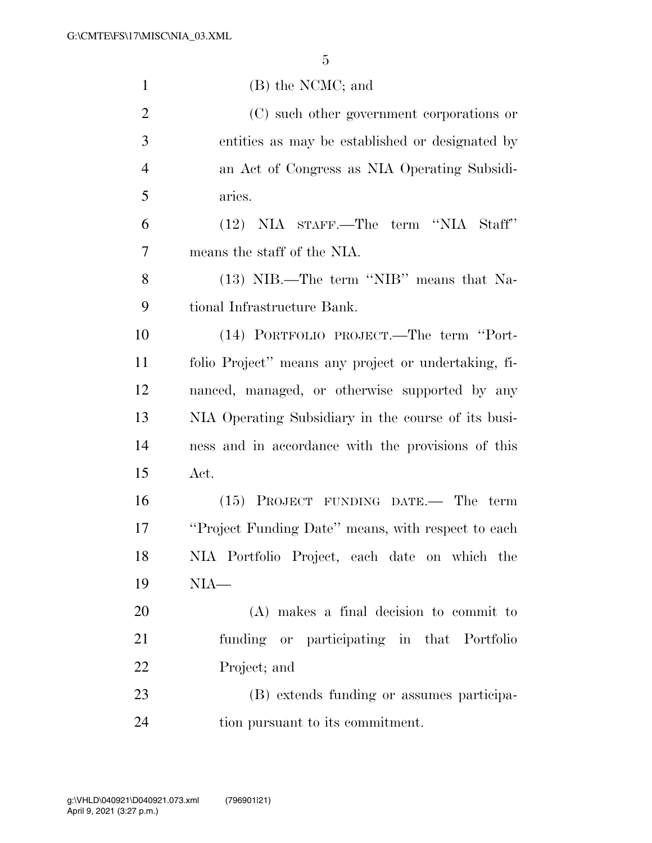| $\mathbf{1}$   | (B) the NCMC; and                                    |
|----------------|------------------------------------------------------|
| $\overline{2}$ | (C) such other government corporations or            |
| 3              | entities as may be established or designated by      |
| $\overline{4}$ | an Act of Congress as NIA Operating Subsidi-         |
| 5              | aries.                                               |
| 6              | (12) NIA STAFF.—The term "NIA Staff"                 |
| 7              | means the staff of the NIA.                          |
| 8              | (13) NIB.—The term "NIB" means that Na-              |
| 9              | tional Infrastructure Bank.                          |
| 10             | (14) PORTFOLIO PROJECT.—The term "Port-              |
| 11             | folio Project" means any project or undertaking, fi- |
| 12             | nanced, managed, or otherwise supported by any       |
| 13             | NIA Operating Subsidiary in the course of its busi-  |
| 14             | ness and in accordance with the provisions of this   |
| 15             | Act.                                                 |
| 16             | $(15)$ PROJECT FUNDING DATE.— The term               |
| 17             | "Project Funding Date" means, with respect to each   |
| 18             | NIA Portfolio Project, each date on which the        |
| 19             | $NIA-$                                               |
| 20             | (A) makes a final decision to commit to              |
| 21             | funding or participating in that Portfolio           |
| <u>22</u>      | Project; and                                         |
| 23             | (B) extends funding or assumes participa-            |
| 24             | tion pursuant to its commitment.                     |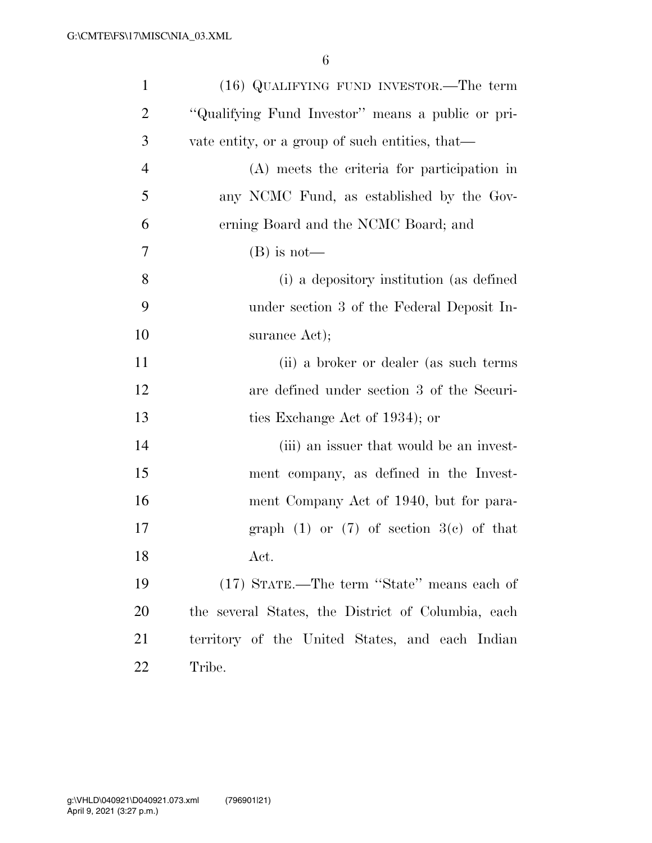| $\mathbf{1}$   | $(16)$ QUALIFYING FUND INVESTOR.—The term          |
|----------------|----------------------------------------------------|
| $\overline{2}$ | "Qualifying Fund Investor" means a public or pri-  |
| 3              | vate entity, or a group of such entities, that—    |
| $\overline{4}$ | (A) meets the criteria for participation in        |
| 5              | any NCMC Fund, as established by the Gov-          |
| 6              | erning Board and the NCMC Board; and               |
| 7              | $(B)$ is not—                                      |
| 8              | (i) a depository institution (as defined           |
| 9              | under section 3 of the Federal Deposit In-         |
| 10             | surance Act);                                      |
| 11             | (ii) a broker or dealer (as such terms             |
| 12             | are defined under section 3 of the Securi-         |
| 13             | ties Exchange Act of 1934); or                     |
| 14             | (iii) an issuer that would be an invest-           |
| 15             | ment company, as defined in the Invest-            |
| 16             | ment Company Act of 1940, but for para-            |
| 17             | graph $(1)$ or $(7)$ of section $3(c)$ of that     |
| 18             | Act.                                               |
| 19             | (17) STATE.—The term "State" means each of         |
| <b>20</b>      | the several States, the District of Columbia, each |
| 21             | territory of the United States, and each Indian    |
| 22             | Tribe.                                             |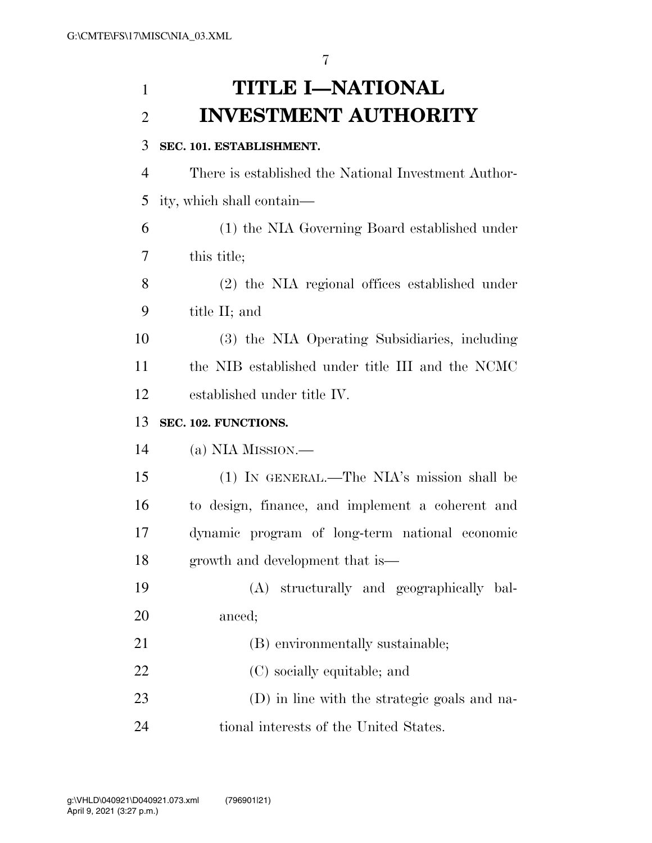# **TITLE I—NATIONAL INVESTMENT AUTHORITY**

# **SEC. 101. ESTABLISHMENT.**

 There is established the National Investment Author-ity, which shall contain—

 (1) the NIA Governing Board established under this title;

 (2) the NIA regional offices established under title II; and

 (3) the NIA Operating Subsidiaries, including the NIB established under title III and the NCMC established under title IV.

# **SEC. 102. FUNCTIONS.**

(a) NIA MISSION.—

 (1) IN GENERAL.—The NIA's mission shall be to design, finance, and implement a coherent and dynamic program of long-term national economic growth and development that is—

- (A) structurally and geographically bal-anced;
- 21 (B) environmentally sustainable;
- (C) socially equitable; and
- (D) in line with the strategic goals and na-tional interests of the United States.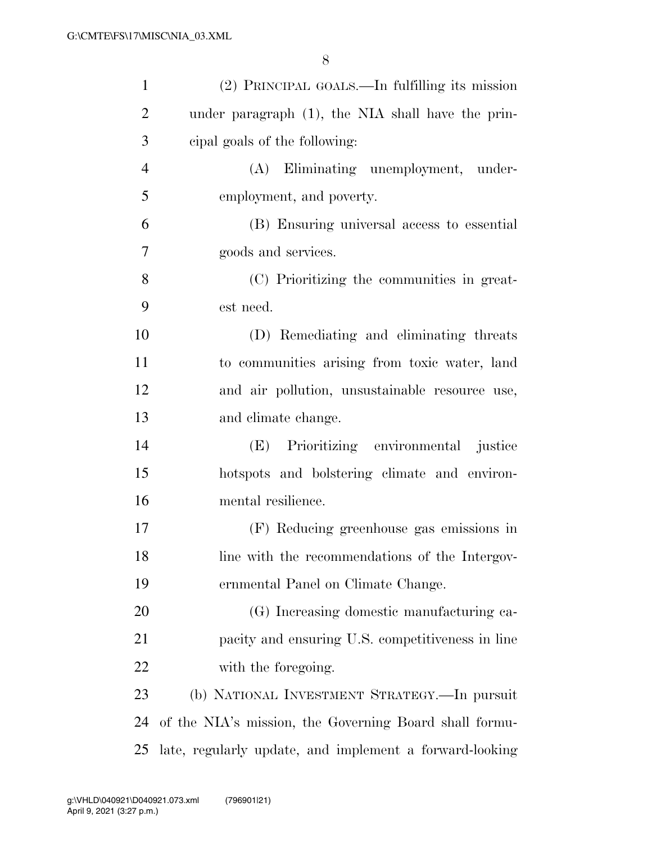| $\mathbf{1}$   | (2) PRINCIPAL GOALS.—In fulfilling its mission          |
|----------------|---------------------------------------------------------|
| $\overline{2}$ | under paragraph (1), the NIA shall have the prin-       |
| 3              | eipal goals of the following:                           |
| $\overline{4}$ | Eliminating unemployment, under-<br>(A)                 |
| 5              | employment, and poverty.                                |
| 6              | (B) Ensuring universal access to essential              |
| 7              | goods and services.                                     |
| 8              | (C) Prioritizing the communities in great-              |
| 9              | est need.                                               |
| 10             | (D) Remediating and eliminating threats                 |
| 11             | to communities arising from toxic water, land           |
| 12             | and air pollution, unsustainable resource use,          |
| 13             | and climate change.                                     |
| 14             | Prioritizing environmental justice<br>(E)               |
| 15             | hotspots and bolstering climate and environ-            |
| 16             | mental resilience.                                      |
| 17             | (F) Reducing greenhouse gas emissions in                |
| 18             | line with the recommendations of the Intergov-          |
| 19             | ernmental Panel on Climate Change.                      |
| 20             | (G) Increasing domestic manufacturing ca-               |
| 21             | pacity and ensuring U.S. competitiveness in line        |
| 22             | with the foregoing.                                     |
| 23             | (b) NATIONAL INVESTMENT STRATEGY.—In pursuit            |
| 24             | of the NIA's mission, the Governing Board shall formu-  |
| 25             | late, regularly update, and implement a forward-looking |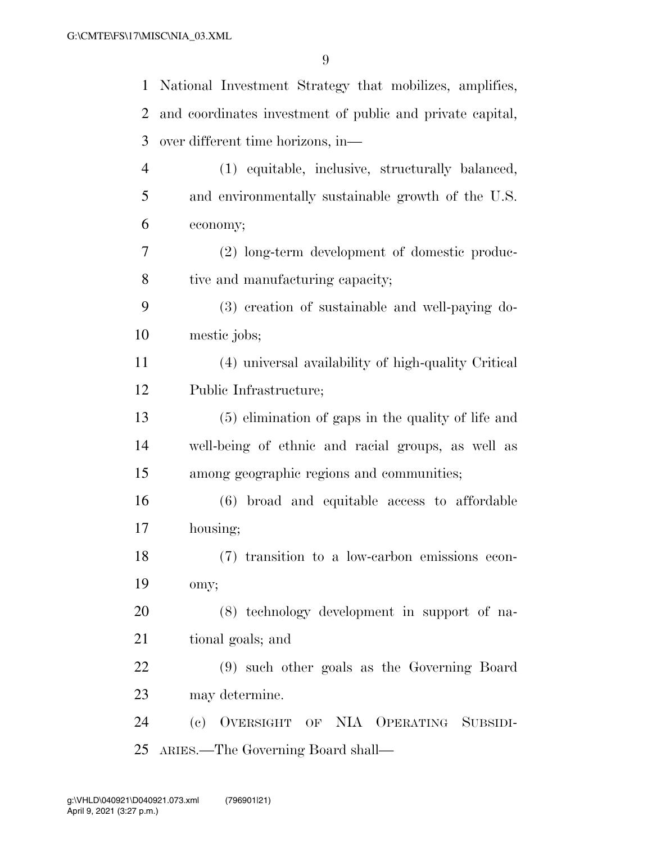| 1              | National Investment Strategy that mobilizes, amplifies,   |
|----------------|-----------------------------------------------------------|
| 2              | and coordinates investment of public and private capital, |
| 3              | over different time horizons, in-                         |
| $\overline{4}$ | (1) equitable, inclusive, structurally balanced,          |
| 5              | and environmentally sustainable growth of the U.S.        |
| 6              | economy;                                                  |
| 7              | (2) long-term development of domestic produc-             |
| 8              | tive and manufacturing capacity;                          |
| 9              | (3) creation of sustainable and well-paying do-           |
| 10             | mestic jobs;                                              |
| 11             | (4) universal availability of high-quality Critical       |
| 12             | Public Infrastructure;                                    |
| 13             | (5) elimination of gaps in the quality of life and        |
| 14             | well-being of ethnic and racial groups, as well as        |
| 15             | among geographic regions and communities;                 |
| 16             | (6) broad and equitable access to affordable              |
| 17             | housing;                                                  |
| 18             | (7) transition to a low-carbon emissions econ-            |
| 19             | omy;                                                      |
| 20             | (8) technology development in support of na-              |
| 21             | tional goals; and                                         |
| 22             | (9) such other goals as the Governing Board               |
| 23             | may determine.                                            |
| 24             | (c) OVERSIGHT OF NIA OPERATING SUBSIDI-                   |
| 25             | ARIES.—The Governing Board shall—                         |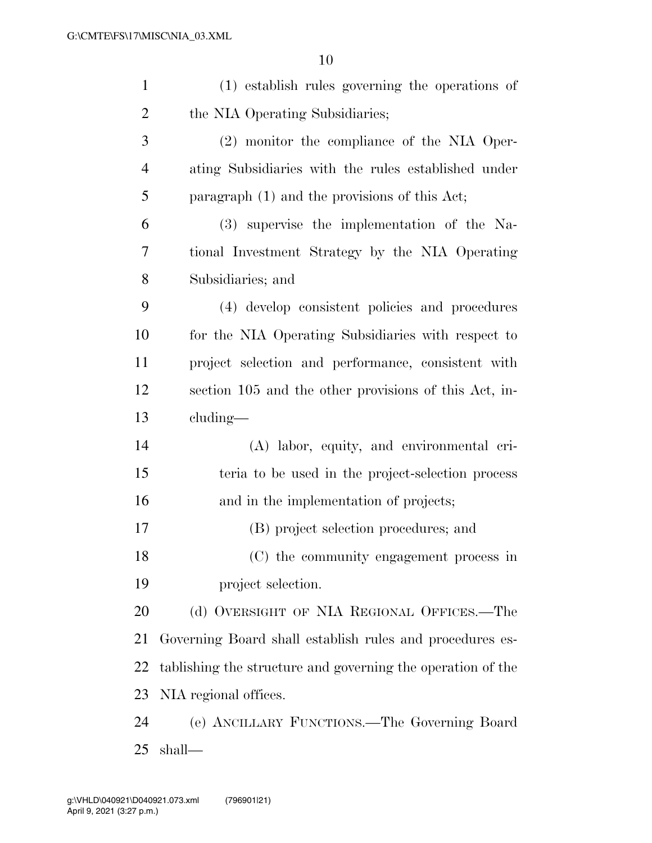| $\mathbf{1}$   | (1) establish rules governing the operations of             |
|----------------|-------------------------------------------------------------|
| $\overline{2}$ | the NIA Operating Subsidiaries;                             |
| 3              | (2) monitor the compliance of the NIA Oper-                 |
| $\overline{4}$ | ating Subsidiaries with the rules established under         |
| 5              | paragraph (1) and the provisions of this Act;               |
| 6              | (3) supervise the implementation of the Na-                 |
| 7              | tional Investment Strategy by the NIA Operating             |
| 8              | Subsidiaries; and                                           |
| 9              | (4) develop consistent policies and procedures              |
| 10             | for the NIA Operating Subsidiaries with respect to          |
| 11             | project selection and performance, consistent with          |
| 12             | section 105 and the other provisions of this Act, in-       |
| 13             | $cluding$ —                                                 |
| 14             | (A) labor, equity, and environmental cri-                   |
| 15             | teria to be used in the project-selection process           |
| 16             | and in the implementation of projects;                      |
| 17             | (B) project selection procedures; and                       |
| 18             | (C) the community engagement process in                     |
| 19             | project selection.                                          |
| 20             | (d) OVERSIGHT OF NIA REGIONAL OFFICES.—The                  |
| 21             | Governing Board shall establish rules and procedures es-    |
| 22             | tablishing the structure and governing the operation of the |
| 23             | NIA regional offices.                                       |
| 24             | (e) ANCILLARY FUNCTIONS.—The Governing Board                |
| 25             | shall—                                                      |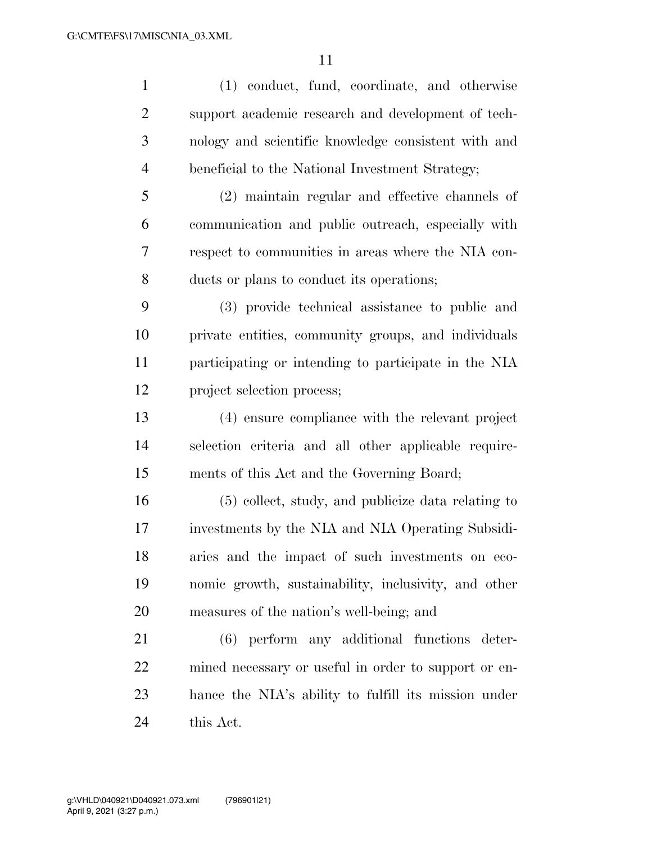(1) conduct, fund, coordinate, and otherwise support academic research and development of tech- nology and scientific knowledge consistent with and beneficial to the National Investment Strategy; (2) maintain regular and effective channels of communication and public outreach, especially with respect to communities in areas where the NIA con- ducts or plans to conduct its operations; (3) provide technical assistance to public and private entities, community groups, and individuals participating or intending to participate in the NIA project selection process; (4) ensure compliance with the relevant project selection criteria and all other applicable require- ments of this Act and the Governing Board; (5) collect, study, and publicize data relating to investments by the NIA and NIA Operating Subsidi- aries and the impact of such investments on eco- nomic growth, sustainability, inclusivity, and other measures of the nation's well-being; and (6) perform any additional functions deter- mined necessary or useful in order to support or en- hance the NIA's ability to fulfill its mission under this Act.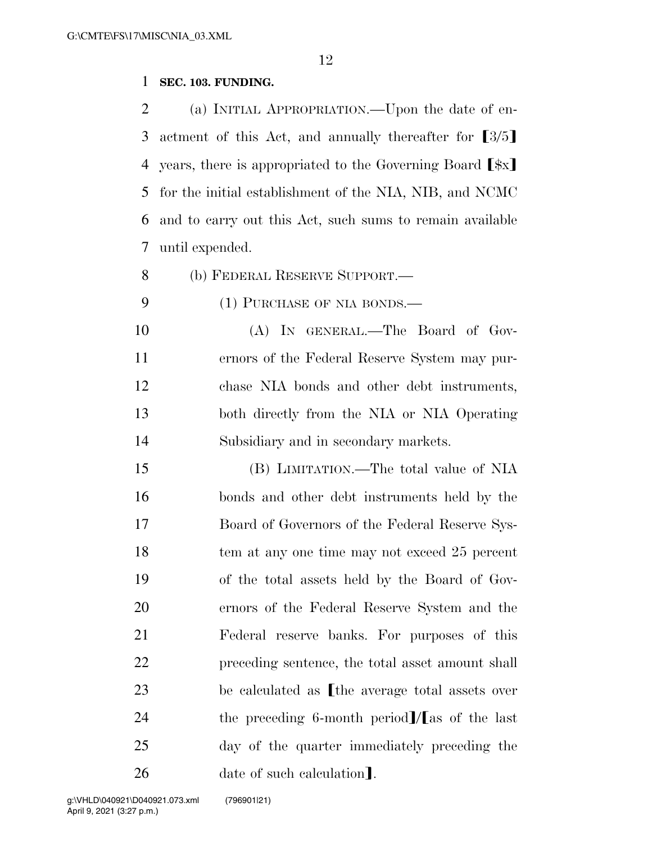## **SEC. 103. FUNDING.**

 (a) INITIAL APPROPRIATION.—Upon the date of en-3 actment of this Act, and annually thereafter for  $\lceil 3/5 \rceil$ 4 years, there is appropriated to the Governing Board  $\lceil \frac{4}{3}x \rceil$  for the initial establishment of the NIA, NIB, and NCMC and to carry out this Act, such sums to remain available until expended.

(b) FEDERAL RESERVE SUPPORT.—

9 (1) PURCHASE OF NIA BONDS.—

 (A) IN GENERAL.—The Board of Gov- ernors of the Federal Reserve System may pur- chase NIA bonds and other debt instruments, both directly from the NIA or NIA Operating Subsidiary and in secondary markets.

 (B) LIMITATION.—The total value of NIA bonds and other debt instruments held by the Board of Governors of the Federal Reserve Sys-18 tem at any one time may not exceed 25 percent of the total assets held by the Board of Gov- ernors of the Federal Reserve System and the Federal reserve banks. For purposes of this preceding sentence, the total asset amount shall 23 be calculated as the average total assets over 24 the preceding 6-month period  $\frac{1}{\text{as}}$  of the last day of the quarter immediately preceding the 26 date of such calculation.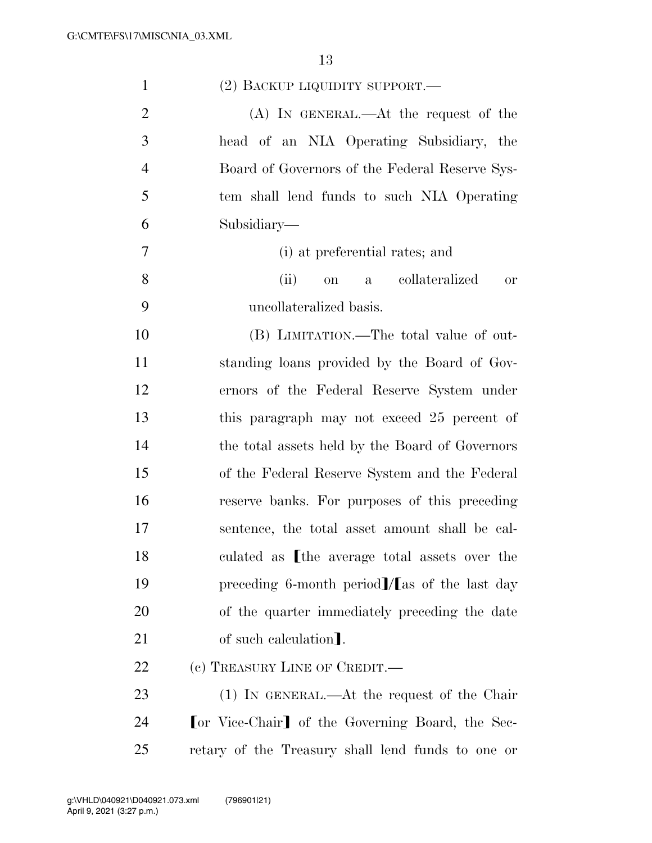| $\mathbf{1}$   | $(2)$ BACKUP LIQUIDITY SUPPORT.—                  |
|----------------|---------------------------------------------------|
| $\overline{2}$ | (A) IN GENERAL.—At the request of the             |
| 3              | head of an NIA Operating Subsidiary, the          |
| $\overline{4}$ | Board of Governors of the Federal Reserve Sys-    |
| 5              | tem shall lend funds to such NIA Operating        |
| 6              | Subsidiary—                                       |
| 7              | (i) at preferential rates; and                    |
| 8              | (ii)<br>on a collateralized<br><b>or</b>          |
| 9              | uncollateralized basis.                           |
| 10             | (B) LIMITATION.—The total value of out-           |
| 11             | standing loans provided by the Board of Gov-      |
| 12             | ernors of the Federal Reserve System under        |
| 13             | this paragraph may not exceed 25 percent of       |
| 14             | the total assets held by the Board of Governors   |
| 15             | of the Federal Reserve System and the Federal     |
| 16             | reserve banks. For purposes of this preceding     |
| 17             | sentence, the total asset amount shall be cal-    |
| 18             | culated as [the average total assets over the     |
| 19             | preceding 6-month period]/[as of the last day     |
| 20             | of the quarter immediately preceding the date     |
| 21             | of such calculation.                              |
| 22             | (c) TREASURY LINE OF CREDIT.—                     |
| 23             | (1) IN GENERAL.—At the request of the Chair       |
| 24             | [or Vice-Chair] of the Governing Board, the Sec-  |
| 25             | retary of the Treasury shall lend funds to one or |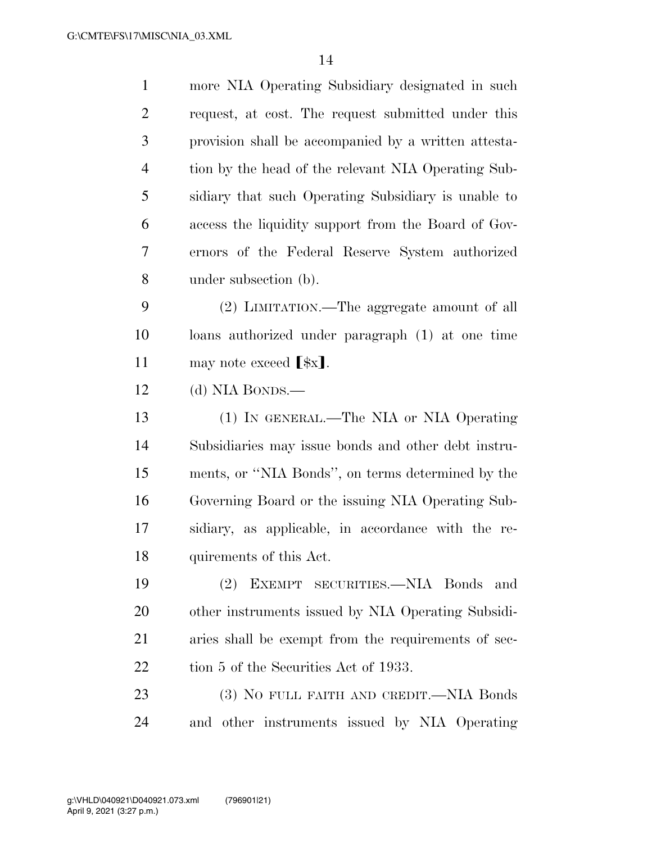| $\mathbf{1}$   | more NIA Operating Subsidiary designated in such     |
|----------------|------------------------------------------------------|
| $\overline{2}$ | request, at cost. The request submitted under this   |
| 3              | provision shall be accompanied by a written attesta- |
| $\overline{4}$ | tion by the head of the relevant NIA Operating Sub-  |
| 5              | sidiary that such Operating Subsidiary is unable to  |
| 6              | access the liquidity support from the Board of Gov-  |
| 7              | ernors of the Federal Reserve System authorized      |
| 8              | under subsection (b).                                |
| 9              | (2) LIMITATION.—The aggregate amount of all          |
| 10             | loans authorized under paragraph (1) at one time     |
| 11             | may note exceed $[\frac{1}{2}x]$ .                   |
| 12             | (d) NIA BONDS.—                                      |
| 13             | (1) IN GENERAL.—The NIA or NIA Operating             |
| 14             | Subsidiaries may issue bonds and other debt instru-  |
| 15             | ments, or "NIA Bonds", on terms determined by the    |
| 16             | Governing Board or the issuing NIA Operating Sub-    |
| 17             | sidiary, as applicable, in accordance with the re-   |
| 18             | quirements of this Act.                              |
| 19             | EXEMPT SECURITIES.-NIA Bonds<br>(2)<br>and           |
| 20             | other instruments issued by NIA Operating Subsidi-   |
| 21             | aries shall be exempt from the requirements of sec-  |
| 22             | tion 5 of the Securities Act of 1933.                |
| 23             | (3) NO FULL FAITH AND CREDIT.—NIA Bonds              |
|                |                                                      |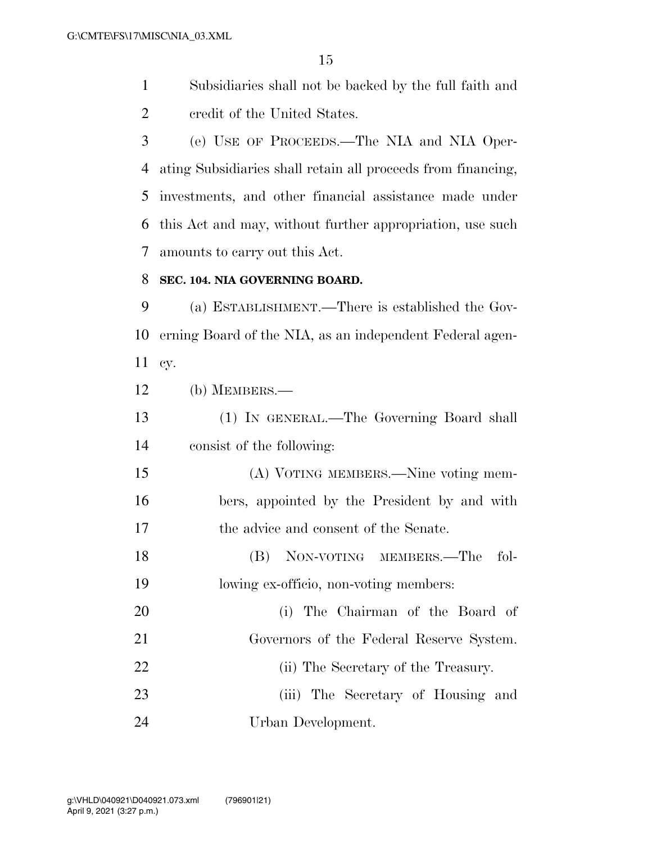Subsidiaries shall not be backed by the full faith and credit of the United States.

 (e) USE OF PROCEEDS.—The NIA and NIA Oper- ating Subsidiaries shall retain all proceeds from financing, investments, and other financial assistance made under this Act and may, without further appropriation, use such amounts to carry out this Act.

## **SEC. 104. NIA GOVERNING BOARD.**

 (a) ESTABLISHMENT.—There is established the Gov- erning Board of the NIA, as an independent Federal agen-cy.

(b) MEMBERS.—

 (1) IN GENERAL.—The Governing Board shall consist of the following:

 (A) VOTING MEMBERS.—Nine voting mem- bers, appointed by the President by and with the advice and consent of the Senate.

 (B) NON-VOTING MEMBERS.—The fol-lowing ex-officio, non-voting members:

 (i) The Chairman of the Board of Governors of the Federal Reserve System. 22 (ii) The Secretary of the Treasury. (iii) The Secretary of Housing and

Urban Development.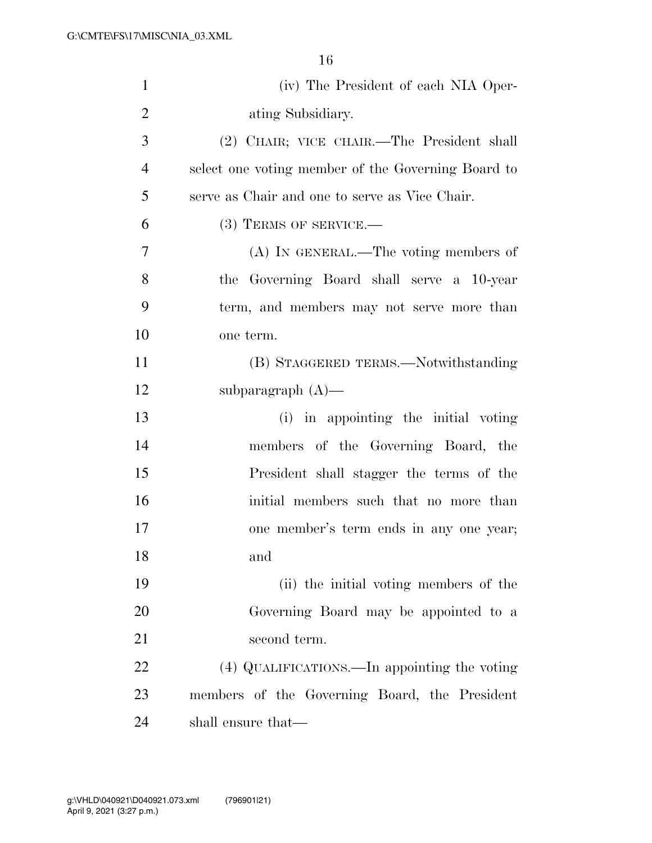| $\mathbf{1}$   | (iv) The President of each NIA Oper-               |
|----------------|----------------------------------------------------|
| $\overline{2}$ | ating Subsidiary.                                  |
| 3              | (2) CHAIR; VICE CHAIR.—The President shall         |
| $\overline{4}$ | select one voting member of the Governing Board to |
| 5              | serve as Chair and one to serve as Vice Chair.     |
| 6              | $(3)$ TERMS OF SERVICE.—                           |
| 7              | (A) IN GENERAL.—The voting members of              |
| 8              | the Governing Board shall serve a 10-year          |
| 9              | term, and members may not serve more than          |
| 10             | one term.                                          |
| 11             | (B) STAGGERED TERMS.—Notwithstanding               |
| 12             | subparagraph $(A)$ —                               |
| 13             | (i) in appointing the initial voting               |
| 14             | members of the Governing Board, the                |
| 15             | President shall stagger the terms of the           |
| 16             | initial members such that no more than             |
| 17             | one member's term ends in any one year;            |
| 18             | and                                                |
| 19             | (ii) the initial voting members of the             |
| 20             | Governing Board may be appointed to a              |
| 21             | second term.                                       |
| 22             | (4) QUALIFICATIONS.—In appointing the voting       |
| 23             | members of the Governing Board, the President      |
| 24             | shall ensure that—                                 |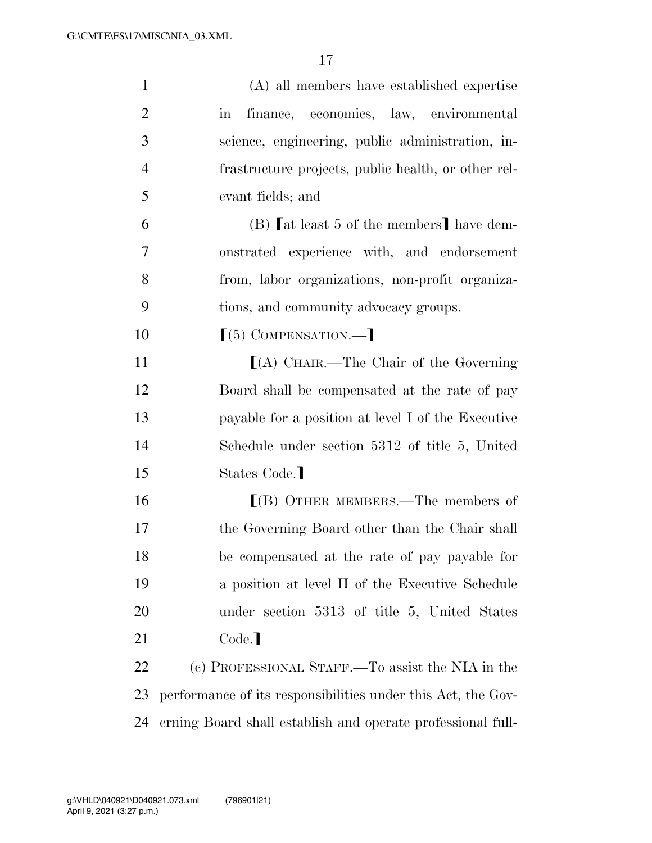| $\mathbf{1}$   | (A) all members have established expertise                    |
|----------------|---------------------------------------------------------------|
| $\overline{2}$ | finance, economics, law, environmental<br>$\operatorname{in}$ |
| 3              | science, engineering, public administration, in-              |
| $\overline{4}$ | frastructure projects, public health, or other rel-           |
| 5              | evant fields; and                                             |
| 6              | (B) [at least 5 of the members] have dem-                     |
| 7              | onstrated experience with, and endorsement                    |
| 8              | from, labor organizations, non-profit organiza-               |
| 9              | tions, and community advocacy groups.                         |
| 10             | $(5)$ COMPENSATION.—                                          |
| 11             | $[(A)$ CHAIR.—The Chair of the Governing                      |
| 12             | Board shall be compensated at the rate of pay                 |
| 13             | payable for a position at level I of the Executive            |
| 14             | Schedule under section 5312 of title 5, United                |
| 15             | States Code.                                                  |
| 16             | $[(B)$ OTHER MEMBERS.—The members of                          |
| 17             | the Governing Board other than the Chair shall                |
| 18             | be compensated at the rate of pay payable for                 |
| 19             | a position at level II of the Executive Schedule              |
| 20             | under section 5313 of title 5, United States                  |
| 21             | Code.                                                         |
| 22             | (c) PROFESSIONAL STAFF.—To assist the NIA in the              |
| 23             | performance of its responsibilities under this Act, the Gov-  |
| 24             | erning Board shall establish and operate professional full-   |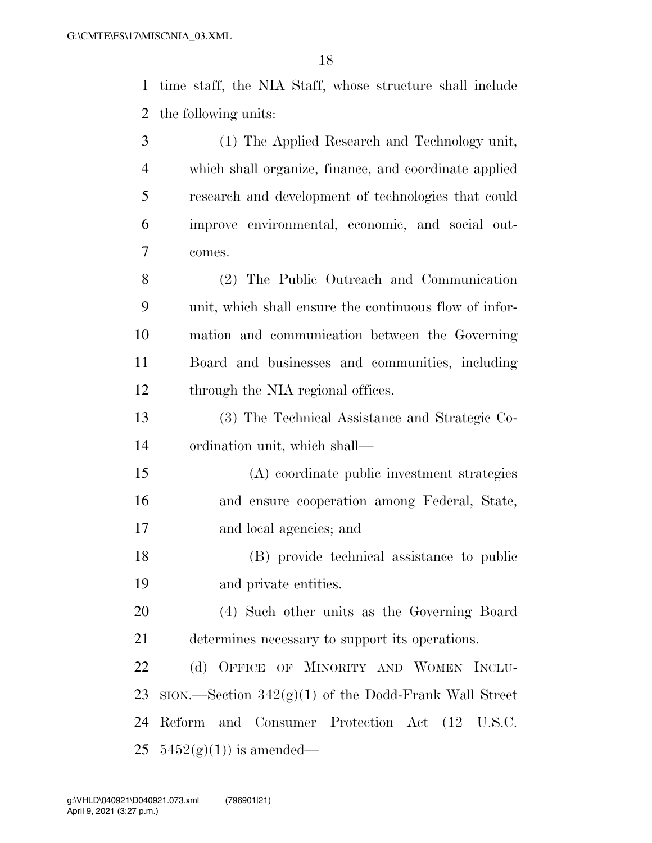time staff, the NIA Staff, whose structure shall include the following units:

| 3              | (1) The Applied Research and Technology unit,              |
|----------------|------------------------------------------------------------|
| $\overline{4}$ | which shall organize, finance, and coordinate applied      |
| 5              | research and development of technologies that could        |
| 6              | improve environmental, economic, and social out-           |
| 7              | comes.                                                     |
| 8              | (2) The Public Outreach and Communication                  |
| 9              | unit, which shall ensure the continuous flow of infor-     |
| 10             | mation and communication between the Governing             |
| 11             | Board and businesses and communities, including            |
| 12             | through the NIA regional offices.                          |
| 13             | (3) The Technical Assistance and Strategic Co-             |
| 14             | ordination unit, which shall—                              |
| 15             | (A) coordinate public investment strategies                |
| 16             | and ensure cooperation among Federal, State,               |
| 17             | and local agencies; and                                    |
| 18             | (B) provide technical assistance to public                 |
| 19             | and private entities.                                      |
| 20             | (4) Such other units as the Governing Board                |
| 21             | determines necessary to support its operations.            |
| 22             | (d) OFFICE OF MINORITY AND WOMEN INCLU-                    |
| 23             | $SION.$ Section 342 $(g)(1)$ of the Dodd-Frank Wall Street |
| 24             | Reform and Consumer Protection Act (12 U.S.C.              |
| 25             | $5452(g)(1)$ is amended—                                   |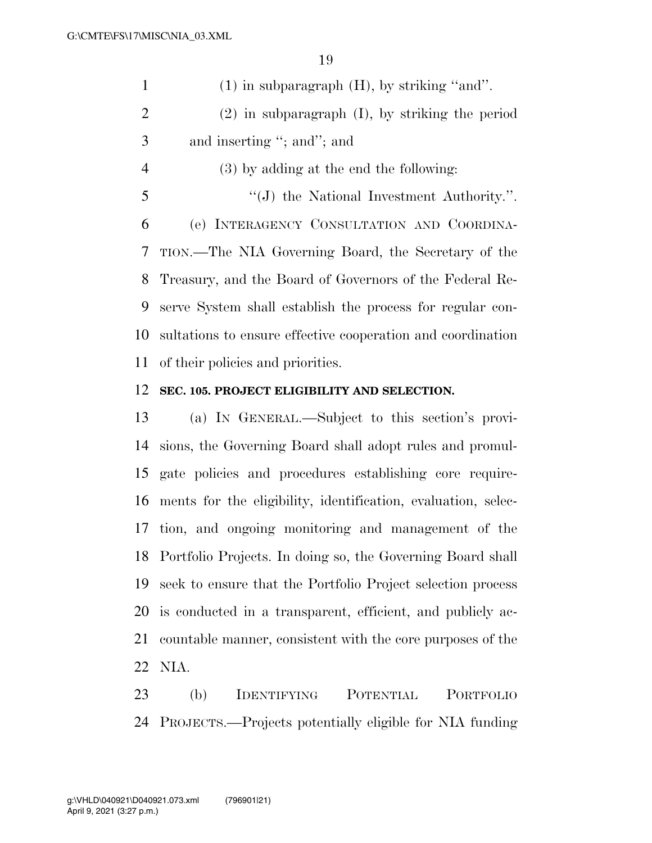(1) in subparagraph (H), by striking ''and''. (2) in subparagraph (I), by striking the period and inserting ''; and''; and (3) by adding at the end the following: 5 ''(J) the National Investment Authority.". (e) INTERAGENCY CONSULTATION AND COORDINA- TION.—The NIA Governing Board, the Secretary of the Treasury, and the Board of Governors of the Federal Re- serve System shall establish the process for regular con- sultations to ensure effective cooperation and coordination of their policies and priorities.

## **SEC. 105. PROJECT ELIGIBILITY AND SELECTION.**

 (a) IN GENERAL.—Subject to this section's provi- sions, the Governing Board shall adopt rules and promul- gate policies and procedures establishing core require- ments for the eligibility, identification, evaluation, selec- tion, and ongoing monitoring and management of the Portfolio Projects. In doing so, the Governing Board shall seek to ensure that the Portfolio Project selection process is conducted in a transparent, efficient, and publicly ac- countable manner, consistent with the core purposes of the NIA.

 (b) IDENTIFYING POTENTIAL PORTFOLIO PROJECTS.—Projects potentially eligible for NIA funding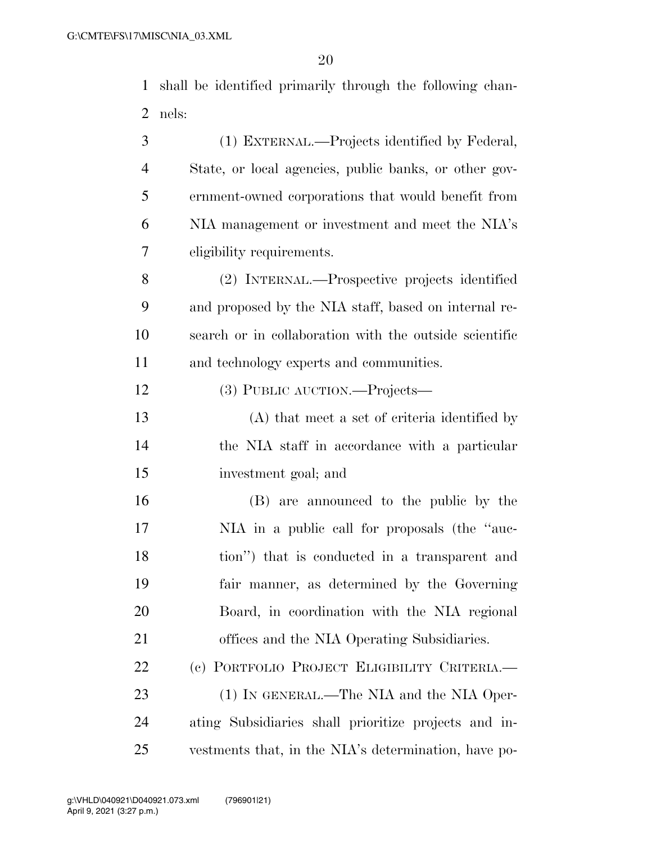shall be identified primarily through the following chan-nels:

| 3              | (1) EXTERNAL.—Projects identified by Federal,          |
|----------------|--------------------------------------------------------|
| $\overline{4}$ | State, or local agencies, public banks, or other gov-  |
| 5              | ernment-owned corporations that would benefit from     |
| 6              | NIA management or investment and meet the NIA's        |
| 7              | eligibility requirements.                              |
| 8              | (2) INTERNAL.—Prospective projects identified          |
| 9              | and proposed by the NIA staff, based on internal re-   |
| 10             | search or in collaboration with the outside scientific |
| 11             | and technology experts and communities.                |
| 12             | (3) PUBLIC AUCTION.—Projects—                          |
| 13             | (A) that meet a set of criteria identified by          |
| 14             | the NIA staff in accordance with a particular          |
| 15             | investment goal; and                                   |
| 16             | (B) are announced to the public by the                 |
| 17             | NIA in a public call for proposals (the "auc-          |
| 18             | tion") that is conducted in a transparent and          |
| 19             | fair manner, as determined by the Governing            |
| 20             | Board, in coordination with the NIA regional           |
| 21             | offices and the NIA Operating Subsidiaries.            |
| 22             | (c) PORTFOLIO PROJECT ELIGIBILITY CRITERIA.—           |
| 23             | (1) IN GENERAL.—The NIA and the NIA Oper-              |
| 24             | ating Subsidiaries shall prioritize projects and in-   |
| 25             | vestments that, in the NIA's determination, have po-   |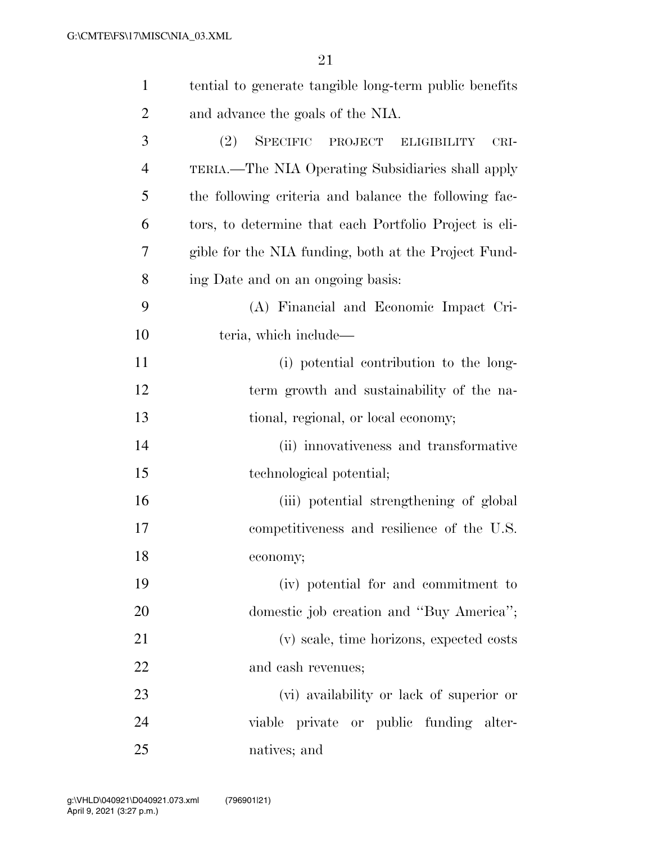| $\mathbf{1}$   | tential to generate tangible long-term public benefits                     |
|----------------|----------------------------------------------------------------------------|
| $\overline{2}$ | and advance the goals of the NIA.                                          |
| 3              | <b>SPECIFIC</b><br><sup>(2)</sup><br>PROJECT<br><b>ELIGIBILITY</b><br>CRI- |
| $\overline{4}$ | TERIA.—The NIA Operating Subsidiaries shall apply                          |
| 5              | the following criteria and balance the following fac-                      |
| 6              | tors, to determine that each Portfolio Project is eli-                     |
| 7              | gible for the NIA funding, both at the Project Fund-                       |
| 8              | ing Date and on an ongoing basis:                                          |
| 9              | (A) Financial and Economic Impact Cri-                                     |
| 10             | teria, which include—                                                      |
| 11             | (i) potential contribution to the long-                                    |
| 12             | term growth and sustainability of the na-                                  |
| 13             | tional, regional, or local economy;                                        |
| 14             | (ii) innovativeness and transformative                                     |
| 15             | technological potential;                                                   |
| 16             | (iii) potential strengthening of global                                    |
| 17             | competitiveness and resilience of the U.S.                                 |
| 18             | economy;                                                                   |
| 19             | (iv) potential for and commitment to                                       |
| 20             | domestic job creation and "Buy America";                                   |
| 21             | (v) scale, time horizons, expected costs                                   |
| 22             | and cash revenues;                                                         |
| 23             | (vi) availability or lack of superior or                                   |
| 24             | viable private or public funding alter-                                    |
| 25             | natives; and                                                               |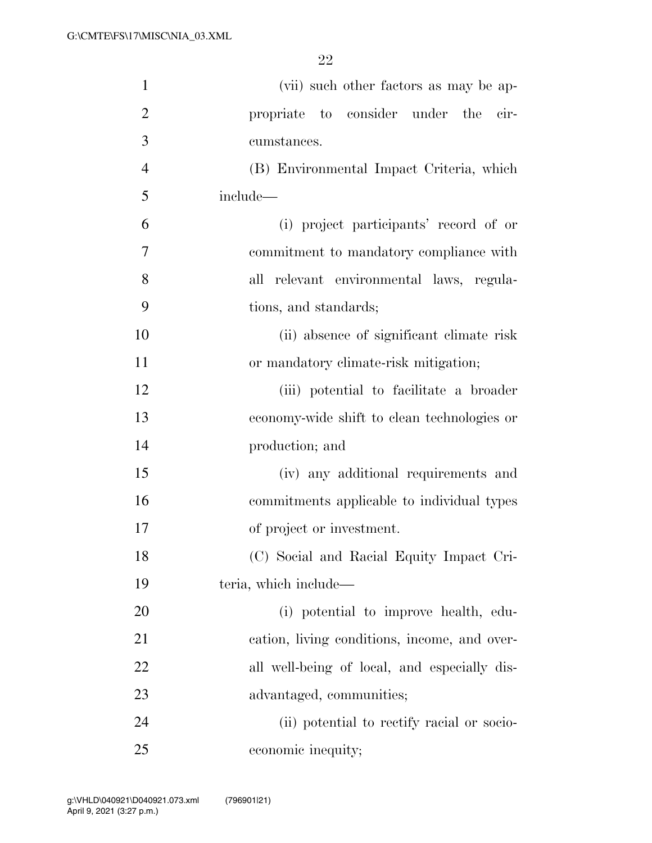| $\mathbf{1}$   | (vii) such other factors as may be ap-       |
|----------------|----------------------------------------------|
| $\overline{2}$ | propriate to consider under the cir-         |
| 3              | cumstances.                                  |
| $\overline{4}$ | (B) Environmental Impact Criteria, which     |
| 5              | include—                                     |
| 6              | (i) project participants' record of or       |
| 7              | commitment to mandatory compliance with      |
| 8              | all relevant environmental laws, regula-     |
| 9              | tions, and standards;                        |
| 10             | (ii) absence of significant climate risk     |
| 11             | or mandatory climate-risk mitigation;        |
| 12             | (iii) potential to facilitate a broader      |
| 13             | economy-wide shift to clean technologies or  |
| 14             | production; and                              |
| 15             | (iv) any additional requirements and         |
| 16             | commitments applicable to individual types   |
| 17             | of project or investment.                    |
| 18             | (C) Social and Racial Equity Impact Cri-     |
| 19             | teria, which include—                        |
| 20             | (i) potential to improve health, edu-        |
| 21             | cation, living conditions, income, and over- |
| 22             | all well-being of local, and especially dis- |
| 23             | advantaged, communities;                     |
| 24             | (ii) potential to rectify racial or socio-   |
| 25             | economic inequity;                           |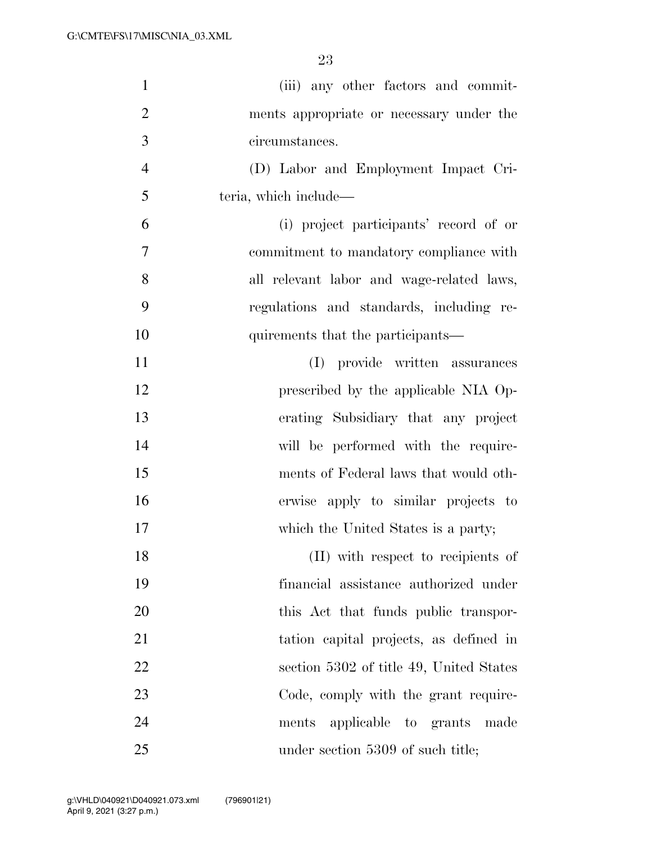| $\mathbf{1}$   | (iii) any other factors and commit-       |
|----------------|-------------------------------------------|
| $\overline{2}$ | ments appropriate or necessary under the  |
| 3              | circumstances.                            |
| $\overline{4}$ | (D) Labor and Employment Impact Cri-      |
| 5              | teria, which include—                     |
| 6              | (i) project participants' record of or    |
| 7              | commitment to mandatory compliance with   |
| 8              | all relevant labor and wage-related laws, |
| 9              | regulations and standards, including re-  |
| 10             | quirements that the participants—         |
| 11             | (I) provide written assurances            |
| 12             | prescribed by the applicable NIA Op-      |
| 13             | erating Subsidiary that any project       |
| 14             | will be performed with the require-       |
| 15             | ments of Federal laws that would oth-     |
| 16             | erwise apply to similar projects to       |
| 17             | which the United States is a party;       |
| 18             | (II) with respect to recipients of        |
| 19             | financial assistance authorized under     |
| 20             | this Act that funds public transpor-      |
| 21             | tation capital projects, as defined in    |
| 22             | section 5302 of title 49, United States   |
| 23             | Code, comply with the grant require-      |
| 24             | ments applicable to grants made           |
| 25             | under section 5309 of such title;         |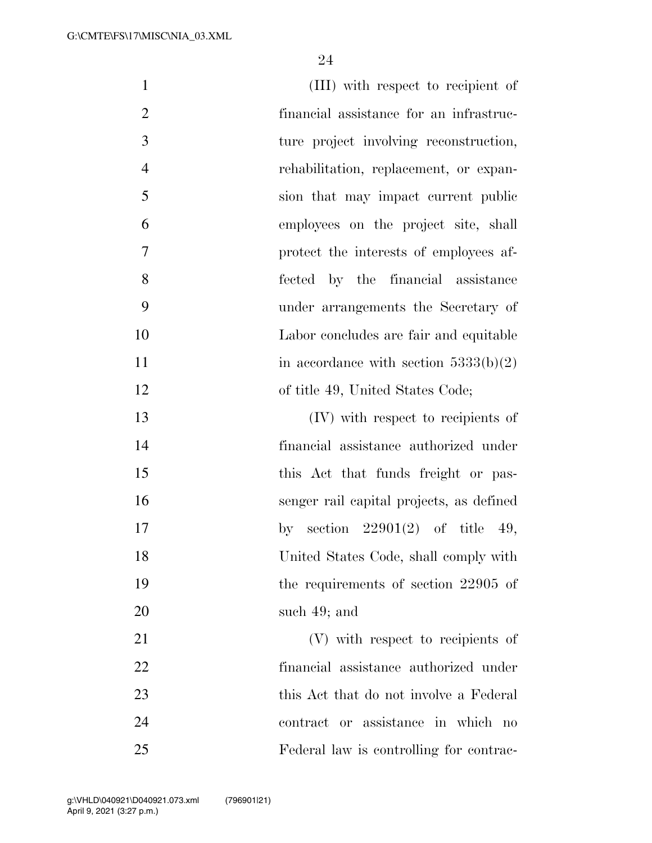| $\mathbf{1}$   | (III) with respect to recipient of       |
|----------------|------------------------------------------|
| $\overline{2}$ | financial assistance for an infrastruc-  |
| 3              | ture project involving reconstruction,   |
| $\overline{4}$ | rehabilitation, replacement, or expan-   |
| 5              | sion that may impact current public      |
| 6              | employees on the project site, shall     |
| $\overline{7}$ | protect the interests of employees af-   |
| 8              | fected by the financial assistance       |
| 9              | under arrangements the Secretary of      |
| 10             | Labor concludes are fair and equitable   |
| 11             | in accordance with section $5333(b)(2)$  |
| 12             | of title 49, United States Code;         |
| 13             | (IV) with respect to recipients of       |
| 14             | financial assistance authorized under    |
| 15             | this Act that funds freight or pas-      |
| 16             | senger rail capital projects, as defined |
| 17             | by section $22901(2)$ of title 49,       |
| 18             | United States Code, shall comply with    |
| 19             | the requirements of section 22905 of     |
| 20             | such $49$ ; and                          |
| 21             | (V) with respect to recipients of        |
| 22             | financial assistance authorized under    |
| 23             | this Act that do not involve a Federal   |
| 24             | contract or assistance in which no       |
| 25             | Federal law is controlling for contrac-  |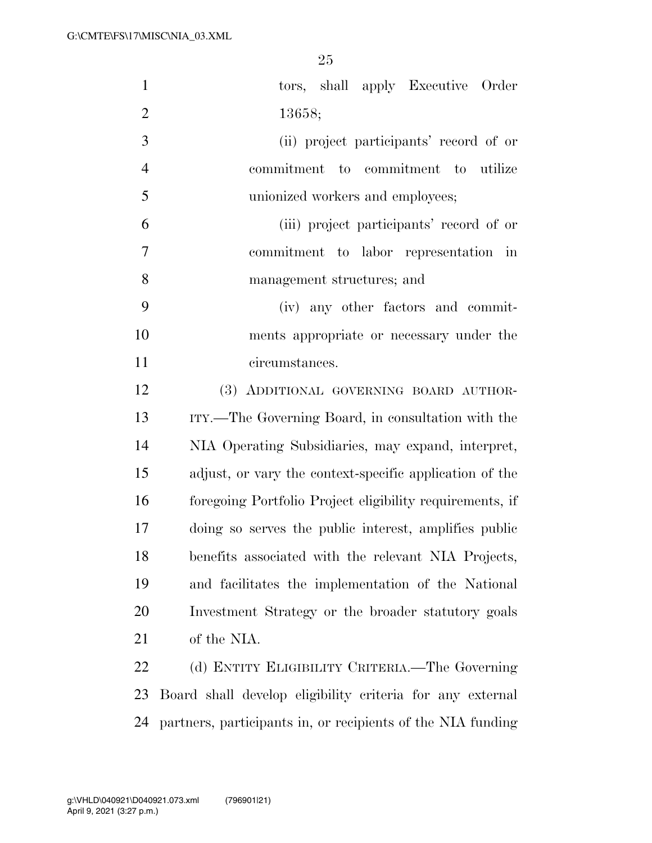| $\mathbf{1}$   | tors, shall apply Executive Order                           |
|----------------|-------------------------------------------------------------|
| $\overline{2}$ | 13658;                                                      |
| 3              | (ii) project participants' record of or                     |
| $\overline{4}$ | commitment to commitment to utilize                         |
| 5              | unionized workers and employees;                            |
| 6              | (iii) project participants' record of or                    |
| 7              | commitment to labor representation in                       |
| 8              | management structures; and                                  |
| 9              | (iv) any other factors and commit-                          |
| 10             | ments appropriate or necessary under the                    |
| 11             | circumstances.                                              |
| 12             | (3) ADDITIONAL GOVERNING BOARD AUTHOR-                      |
| 13             | ITY.—The Governing Board, in consultation with the          |
| 14             | NIA Operating Subsidiaries, may expand, interpret,          |
| 15             | adjust, or vary the context-specific application of the     |
| 16             | foregoing Portfolio Project eligibility requirements, if    |
| 17             | doing so serves the public interest, amplifies public       |
| 18             | benefits associated with the relevant NIA Projects,         |
| 19             | and facilitates the implementation of the National          |
| 20             | Investment Strategy or the broader statutory goals          |
| 21             | of the NIA.                                                 |
| 22             | (d) ENTITY ELIGIBILITY CRITERIA.—The Governing              |
| 23             | Board shall develop eligibility criteria for any external   |
| 24             | partners, participants in, or recipients of the NIA funding |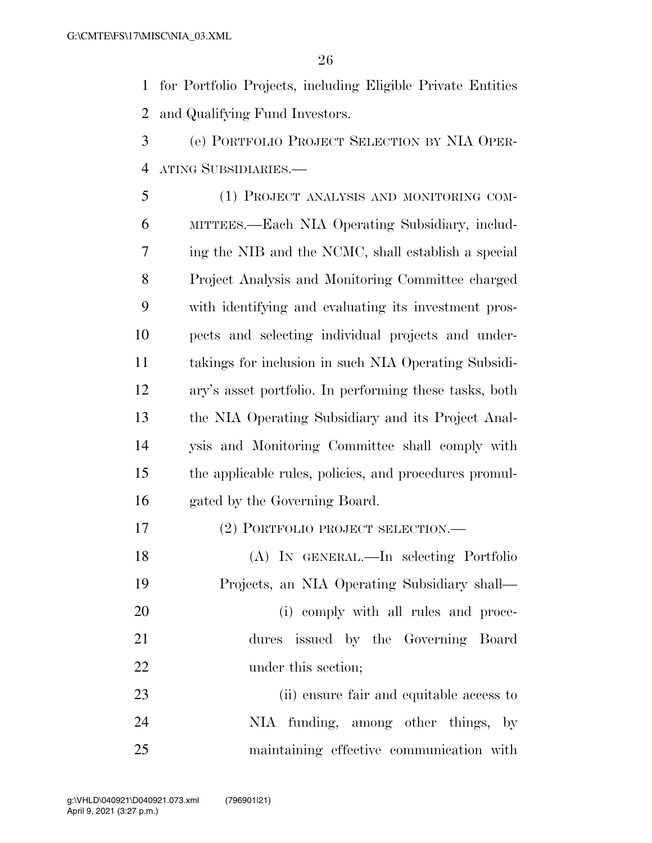for Portfolio Projects, including Eligible Private Entities and Qualifying Fund Investors.

 (e) PORTFOLIO PROJECT SELECTION BY NIA OPER-ATING SUBSIDIARIES.—

 (1) PROJECT ANALYSIS AND MONITORING COM- MITTEES.—Each NIA Operating Subsidiary, includ- ing the NIB and the NCMC, shall establish a special Project Analysis and Monitoring Committee charged with identifying and evaluating its investment pros- pects and selecting individual projects and under- takings for inclusion in such NIA Operating Subsidi- ary's asset portfolio. In performing these tasks, both the NIA Operating Subsidiary and its Project Anal- ysis and Monitoring Committee shall comply with the applicable rules, policies, and procedures promul-gated by the Governing Board.

- (2) PORTFOLIO PROJECT SELECTION.—
- (A) IN GENERAL.—In selecting Portfolio Projects, an NIA Operating Subsidiary shall— 20 (i) comply with all rules and proce- dures issued by the Governing Board 22 under this section;

 (ii) ensure fair and equitable access to NIA funding, among other things, by maintaining effective communication with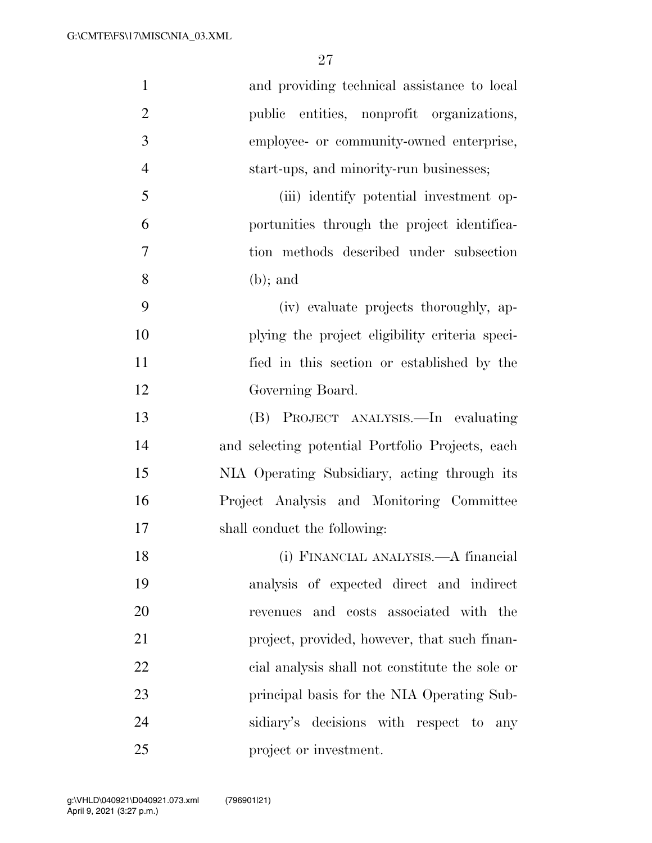| $\mathbf{1}$   | and providing technical assistance to local      |
|----------------|--------------------------------------------------|
| $\overline{2}$ | public entities, nonprofit organizations,        |
| 3              | employee- or community-owned enterprise,         |
| $\overline{4}$ | start-ups, and minority-run businesses;          |
| 5              | (iii) identify potential investment op-          |
| 6              | portunities through the project identifica-      |
| 7              | tion methods described under subsection          |
| 8              | $(b)$ ; and                                      |
| 9              | (iv) evaluate projects thoroughly, ap-           |
| 10             | plying the project eligibility criteria speci-   |
| 11             | fied in this section or established by the       |
| 12             | Governing Board.                                 |
| 13             | PROJECT ANALYSIS.—In evaluating<br>(B)           |
| 14             | and selecting potential Portfolio Projects, each |
| 15             | NIA Operating Subsidiary, acting through its     |
| 16             | Project Analysis and Monitoring Committee        |
| 17             | shall conduct the following:                     |
| 18             | (i) FINANCIAL ANALYSIS.—A financial              |
| 19             | analysis of expected direct and indirect         |
| 20             | revenues and costs associated with the           |
| 21             | project, provided, however, that such finan-     |
| 22             | cial analysis shall not constitute the sole or   |
| 23             | principal basis for the NIA Operating Sub-       |
| 24             | sidiary's decisions with respect to any          |
| 25             | project or investment.                           |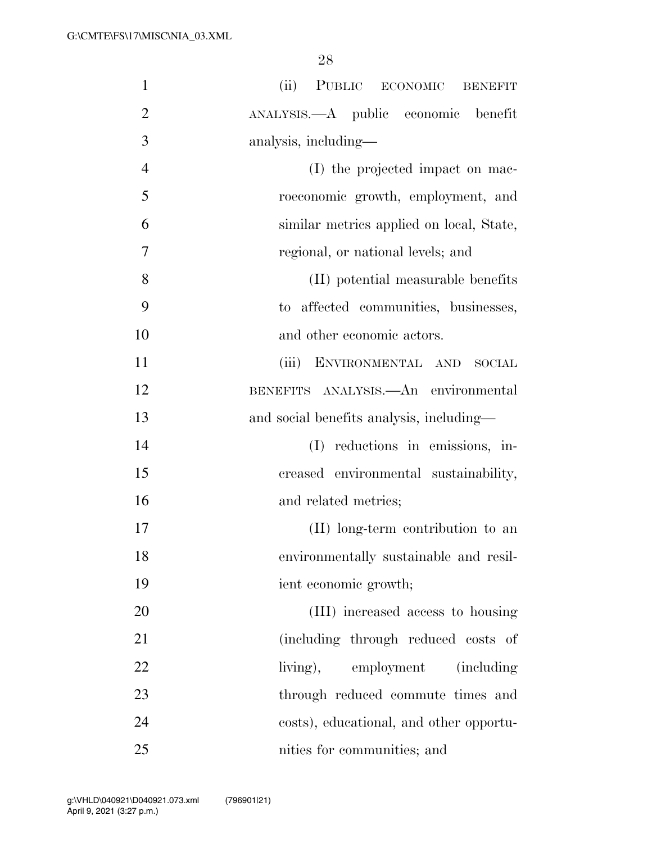| $\mathbf{1}$   | (ii) PUBLIC ECONOMIC BENEFIT             |
|----------------|------------------------------------------|
| $\overline{2}$ | ANALYSIS.—A public economic benefit      |
| 3              | analysis, including—                     |
| $\overline{4}$ | (I) the projected impact on mac-         |
| 5              | roeconomic growth, employment, and       |
| 6              | similar metrics applied on local, State, |
| 7              | regional, or national levels; and        |
| 8              | (II) potential measurable benefits       |
| 9              | to affected communities, businesses,     |
| 10             | and other economic actors.               |
| 11             | (iii) ENVIRONMENTAL AND<br><b>SOCIAL</b> |
| 12             | BENEFITS ANALYSIS. An environmental      |
| 13             | and social benefits analysis, including- |
| 14             | reductions in emissions, in-<br>(I)      |
| 15             | creased environmental sustainability,    |
| 16             | and related metrics;                     |
| 17             | (II) long-term contribution to an        |
| 18             | environmentally sustainable and resil-   |
| 19             | ient economic growth;                    |
| 20             | (III) increased access to housing        |
| 21             | (including through reduced costs of      |
| 22             | living), employment (including           |
| 23             | through reduced commute times and        |
| 24             | costs), educational, and other opportu-  |
| 25             | nities for communities; and              |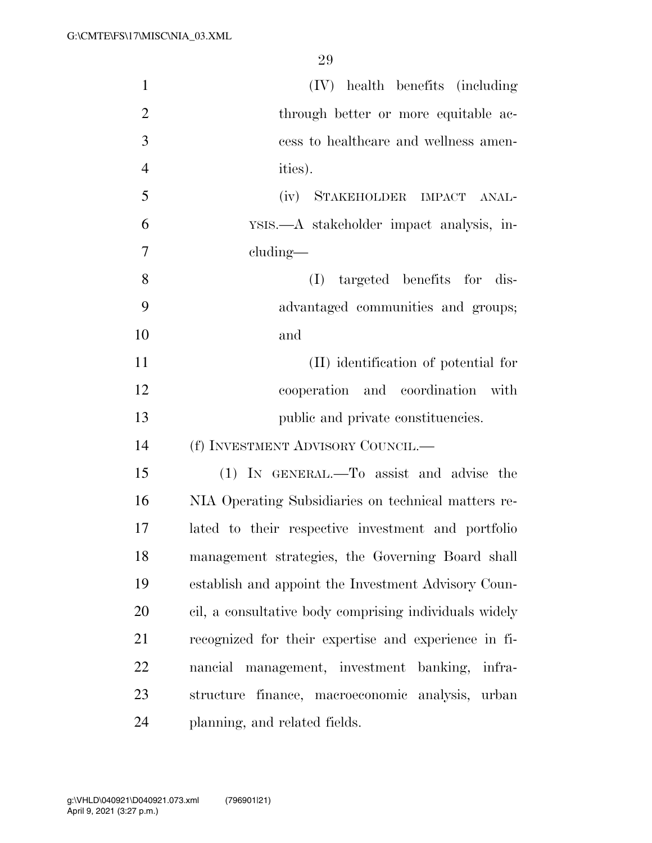| $\mathbf{1}$   | (IV) health benefits (including                        |
|----------------|--------------------------------------------------------|
| $\overline{2}$ | through better or more equitable ac-                   |
| 3              | cess to healthcare and wellness amen-                  |
| $\overline{4}$ | ities).                                                |
| 5              | STAKEHOLDER IMPACT ANAL-<br>(iv)                       |
| 6              | YSIS.—A stakeholder impact analysis, in-               |
| 7              | $cluding$ —                                            |
| 8              | targeted benefits for dis-<br>(I)                      |
| 9              | advantaged communities and groups;                     |
| 10             | and                                                    |
| 11             | (II) identification of potential for                   |
| 12             | cooperation and coordination with                      |
| 13             | public and private constituencies.                     |
| 14             | (f) INVESTMENT ADVISORY COUNCIL.—                      |
| 15             | (1) IN GENERAL.—To assist and advise the               |
| 16             | NIA Operating Subsidiaries on technical matters re-    |
| 17             | lated to their respective investment and portfolio     |
| 18             | management strategies, the Governing Board shall       |
| 19             | establish and appoint the Investment Advisory Coun-    |
| 20             | cil, a consultative body comprising individuals widely |
| 21             | recognized for their expertise and experience in fi-   |
| 22             | nancial management, investment banking, infra-         |
| 23             | structure finance, macroeconomic analysis, urban       |
| 24             | planning, and related fields.                          |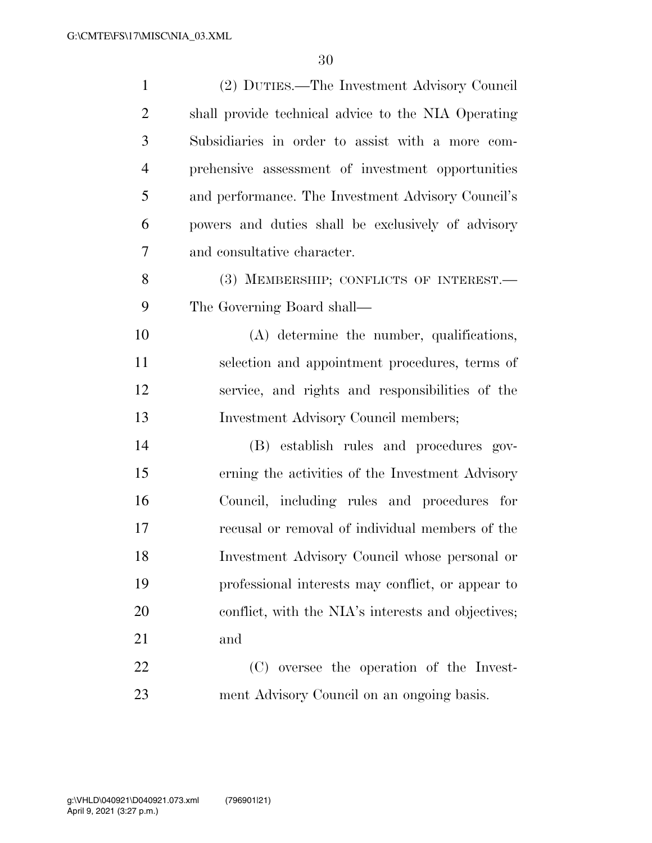| $\mathbf{1}$   | (2) DUTIES.—The Investment Advisory Council         |
|----------------|-----------------------------------------------------|
| $\overline{2}$ | shall provide technical advice to the NIA Operating |
| 3              | Subsidiaries in order to assist with a more com-    |
| $\overline{4}$ | prehensive assessment of investment opportunities   |
| 5              | and performance. The Investment Advisory Council's  |
| 6              | powers and duties shall be exclusively of advisory  |
| 7              | and consultative character.                         |
| 8              | (3) MEMBERSHIP; CONFLICTS OF INTEREST.              |
| 9              | The Governing Board shall—                          |
| 10             | (A) determine the number, qualifications,           |
| 11             | selection and appointment procedures, terms of      |
| 12             | service, and rights and responsibilities of the     |
| 13             | Investment Advisory Council members;                |
| 14             | (B) establish rules and procedures gov-             |
| 15             | erning the activities of the Investment Advisory    |
| 16             | Council, including rules and procedures for         |
| 17             | recusal or removal of individual members of the     |
| 18             | Investment Advisory Council whose personal or       |
| 19             | professional interests may conflict, or appear to   |
| 20             | conflict, with the NIA's interests and objectives;  |
| 21             | and                                                 |
| 22             | (C) oversee the operation of the Invest-            |
| 23             | ment Advisory Council on an ongoing basis.          |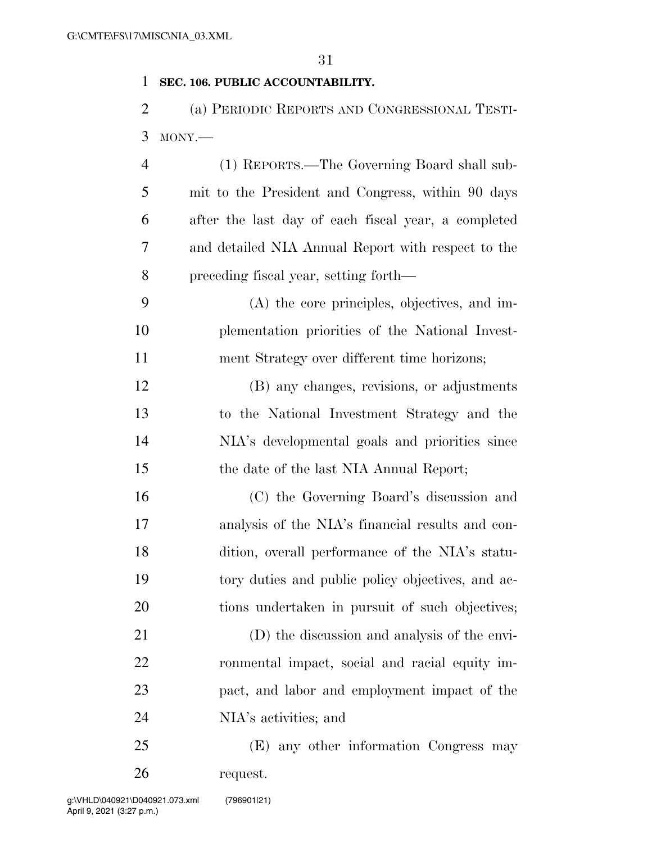# **SEC. 106. PUBLIC ACCOUNTABILITY.**

 (a) PERIODIC REPORTS AND CONGRESSIONAL TESTI-MONY.—

| $\overline{4}$ | (1) REPORTS.—The Governing Board shall sub-         |
|----------------|-----------------------------------------------------|
| 5              | mit to the President and Congress, within 90 days   |
| 6              | after the last day of each fiscal year, a completed |
| 7              | and detailed NIA Annual Report with respect to the  |
| 8              | preceding fiscal year, setting forth—               |
| 9              | (A) the core principles, objectives, and im-        |
| 10             | plementation priorities of the National Invest-     |
| 11             | ment Strategy over different time horizons;         |
| 12             | (B) any changes, revisions, or adjustments          |
| 13             | to the National Investment Strategy and the         |
| 14             | NIA's developmental goals and priorities since      |
| 15             | the date of the last NIA Annual Report;             |
| 16             | (C) the Governing Board's discussion and            |
| 17             | analysis of the NIA's financial results and con-    |
| 18             | dition, overall performance of the NIA's statu-     |
| 19             | tory duties and public policy objectives, and ac-   |
| 20             | tions undertaken in pursuit of such objectives;     |
| 21             | (D) the discussion and analysis of the envi-        |
| 22             | ronmental impact, social and racial equity im-      |
| 23             | pact, and labor and employment impact of the        |
| 24             | NIA's activities; and                               |
| 25             | (E) any other information Congress may              |

request.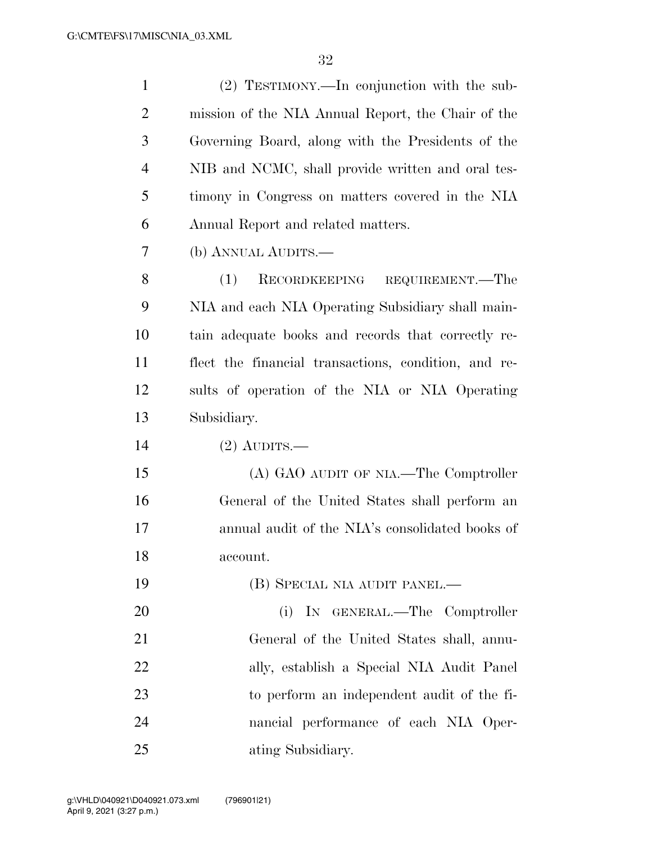| $\mathbf{1}$   | (2) TESTIMONY.—In conjunction with the sub-          |
|----------------|------------------------------------------------------|
| $\overline{2}$ | mission of the NIA Annual Report, the Chair of the   |
| 3              | Governing Board, along with the Presidents of the    |
| $\overline{4}$ | NIB and NCMC, shall provide written and oral tes-    |
| 5              | timony in Congress on matters covered in the NIA     |
| 6              | Annual Report and related matters.                   |
| 7              | (b) ANNUAL AUDITS.—                                  |
| 8              | (1)<br>RECORDKEEPING REQUIREMENT.—The                |
| 9              | NIA and each NIA Operating Subsidiary shall main-    |
| 10             | tain adequate books and records that correctly re-   |
| 11             | flect the financial transactions, condition, and re- |
| 12             | sults of operation of the NIA or NIA Operating       |
| 13             | Subsidiary.                                          |
| 14             | $(2)$ AUDITS.—                                       |
| 15             | (A) GAO AUDIT OF NIA.—The Comptroller                |
| 16             | General of the United States shall perform an        |
| 17             | annual audit of the NIA's consolidated books of      |
| 18             | account.                                             |
| 19             | (B) SPECIAL NIA AUDIT PANEL.—                        |
| 20             | IN GENERAL.—The Comptroller<br>(i)                   |
| 21             | General of the United States shall, annu-            |
| 22             | ally, establish a Special NIA Audit Panel            |
| 23             | to perform an independent audit of the fi-           |
| 24             | nancial performance of each NIA Oper-                |
| 25             | ating Subsidiary.                                    |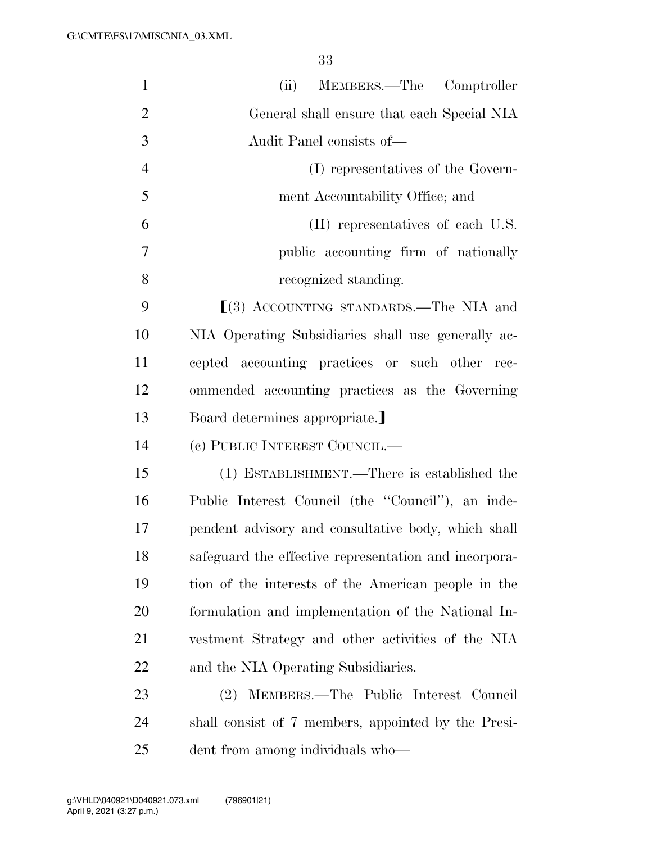| $\mathbf{1}$   | MEMBERS.—The Comptroller<br>(ii)                      |
|----------------|-------------------------------------------------------|
| $\overline{2}$ | General shall ensure that each Special NIA            |
| 3              | Audit Panel consists of-                              |
| $\overline{4}$ | (I) representatives of the Govern-                    |
| 5              | ment Accountability Office; and                       |
| 6              | (II) representatives of each U.S.                     |
| 7              | public accounting firm of nationally                  |
| 8              | recognized standing.                                  |
| 9              | $(3)$ ACCOUNTING STANDARDS.—The NIA and               |
| 10             | NIA Operating Subsidiaries shall use generally ac-    |
| 11             | cepted accounting practices or such other rec-        |
| 12             | ommended accounting practices as the Governing        |
| 13             | Board determines appropriate.]                        |
| 14             | (c) PUBLIC INTEREST COUNCIL.—                         |
| 15             | (1) ESTABLISHMENT.—There is established the           |
| 16             | Public Interest Council (the "Council"), an inde-     |
| 17             | pendent advisory and consultative body, which shall   |
| 18             | safeguard the effective representation and incorpora- |
| 19             | tion of the interests of the American people in the   |
| 20             | formulation and implementation of the National In-    |
| 21             | vestment Strategy and other activities of the NIA     |
| 22             | and the NIA Operating Subsidiaries.                   |
| 23             | MEMBERS.-The Public Interest Council<br>(2)           |
| 24             | shall consist of 7 members, appointed by the Presi-   |
| 25             | dent from among individuals who—                      |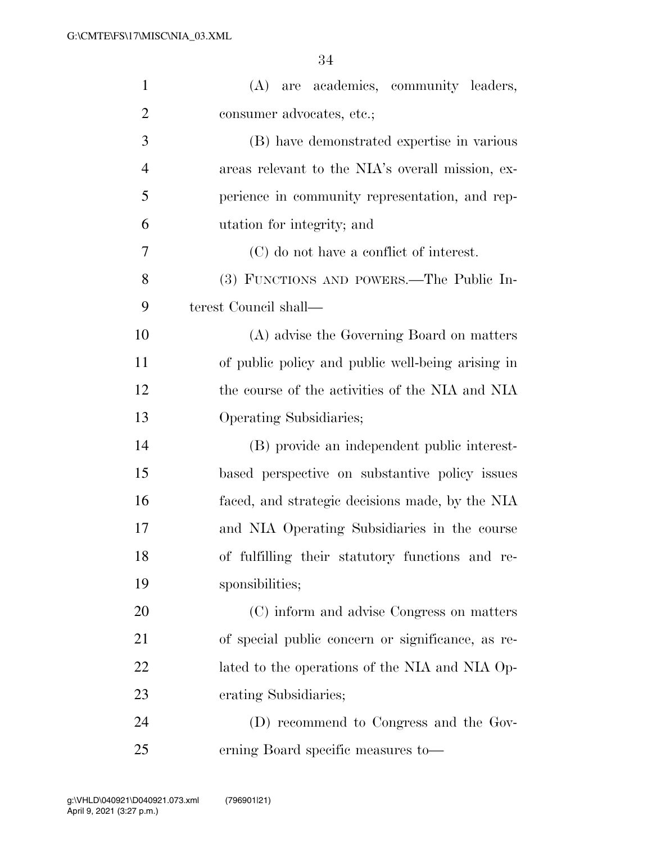| $\mathbf{1}$   | (A) are academics, community leaders,             |
|----------------|---------------------------------------------------|
| $\overline{2}$ | consumer advocates, etc.;                         |
| 3              | (B) have demonstrated expertise in various        |
| $\overline{4}$ | areas relevant to the NIA's overall mission, ex-  |
| 5              | perience in community representation, and rep-    |
| 6              | utation for integrity; and                        |
| 7              | (C) do not have a conflict of interest.           |
| 8              | (3) FUNCTIONS AND POWERS.—The Public In-          |
| 9              | terest Council shall—                             |
| 10             | (A) advise the Governing Board on matters         |
| 11             | of public policy and public well-being arising in |
| 12             | the course of the activities of the NIA and NIA   |
| 13             | Operating Subsidiaries;                           |
| 14             | (B) provide an independent public interest-       |
| 15             | based perspective on substantive policy issues    |
| 16             | faced, and strategic decisions made, by the NIA   |
| 17             | and NIA Operating Subsidiaries in the course      |
| 18             | of fulfilling their statutory functions and re-   |
| 19             | sponsibilities;                                   |
| 20             | (C) inform and advise Congress on matters         |
| 21             | of special public concern or significance, as re- |
| 22             | lated to the operations of the NIA and NIA Op-    |
| 23             | erating Subsidiaries;                             |
| 24             | (D) recommend to Congress and the Gov-            |
| 25             | erning Board specific measures to-                |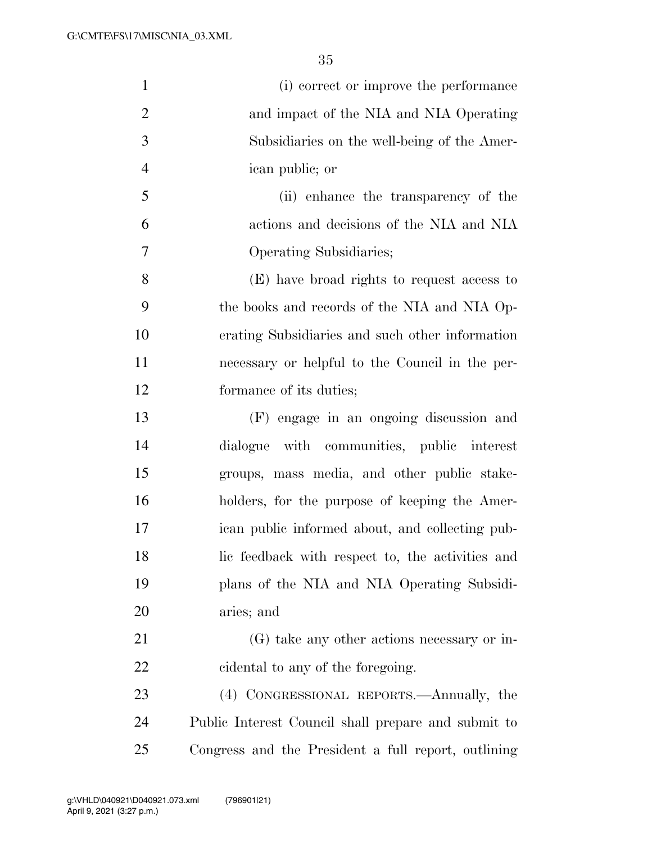| $\mathbf{1}$   | (i) correct or improve the performance              |
|----------------|-----------------------------------------------------|
| $\overline{2}$ | and impact of the NIA and NIA Operating             |
| 3              | Subsidiaries on the well-being of the Amer-         |
| $\overline{4}$ | ican public; or                                     |
| 5              | (ii) enhance the transparency of the                |
| 6              | actions and decisions of the NIA and NIA            |
| $\overline{7}$ | Operating Subsidiaries;                             |
| 8              | (E) have broad rights to request access to          |
| 9              | the books and records of the NIA and NIA Op-        |
| 10             | erating Subsidiaries and such other information     |
| 11             | necessary or helpful to the Council in the per-     |
| 12             | formance of its duties;                             |
| 13             | (F) engage in an ongoing discussion and             |
| 14             | dialogue with communities, public interest          |
| 15             | groups, mass media, and other public stake-         |
| 16             | holders, for the purpose of keeping the Amer-       |
| 17             | ican public informed about, and collecting pub-     |
| 18             | lic feedback with respect to, the activities and    |
| 19             | plans of the NIA and NIA Operating Subsidi-         |
| 20             | aries; and                                          |
| 21             | (G) take any other actions necessary or in-         |
| 22             | cidental to any of the foregoing.                   |
| 23             | (4) CONGRESSIONAL REPORTS.—Annually, the            |
| 24             | Public Interest Council shall prepare and submit to |
| 25             | Congress and the President a full report, outlining |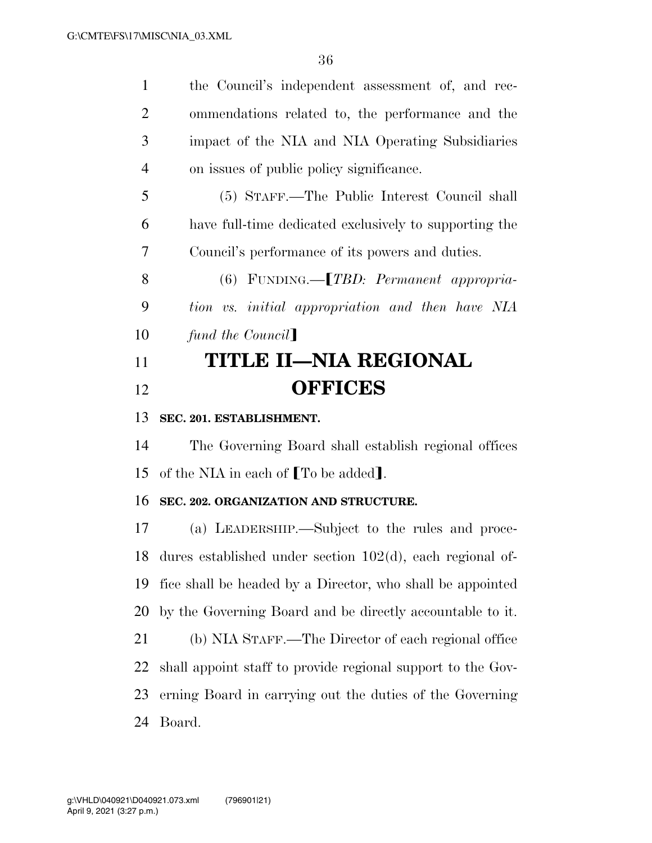the Council's independent assessment of, and rec- ommendations related to, the performance and the impact of the NIA and NIA Operating Subsidiaries on issues of public policy significance. (5) STAFF.—The Public Interest Council shall

 have full-time dedicated exclusively to supporting the Council's performance of its powers and duties.

8 (6) FUNDING.—*TBD: Permanent appropria- tion vs. initial appropriation and then have NIA fund the Council* 

# **TITLE II—NIA REGIONAL OFFICES**

## **SEC. 201. ESTABLISHMENT.**

 The Governing Board shall establish regional offices 15 of the NIA in each of  $\lceil \text{To be added} \rceil$ .

### **SEC. 202. ORGANIZATION AND STRUCTURE.**

 (a) LEADERSHIP.—Subject to the rules and proce- dures established under section 102(d), each regional of- fice shall be headed by a Director, who shall be appointed by the Governing Board and be directly accountable to it.

 (b) NIA STAFF.—The Director of each regional office shall appoint staff to provide regional support to the Gov- erning Board in carrying out the duties of the Governing Board.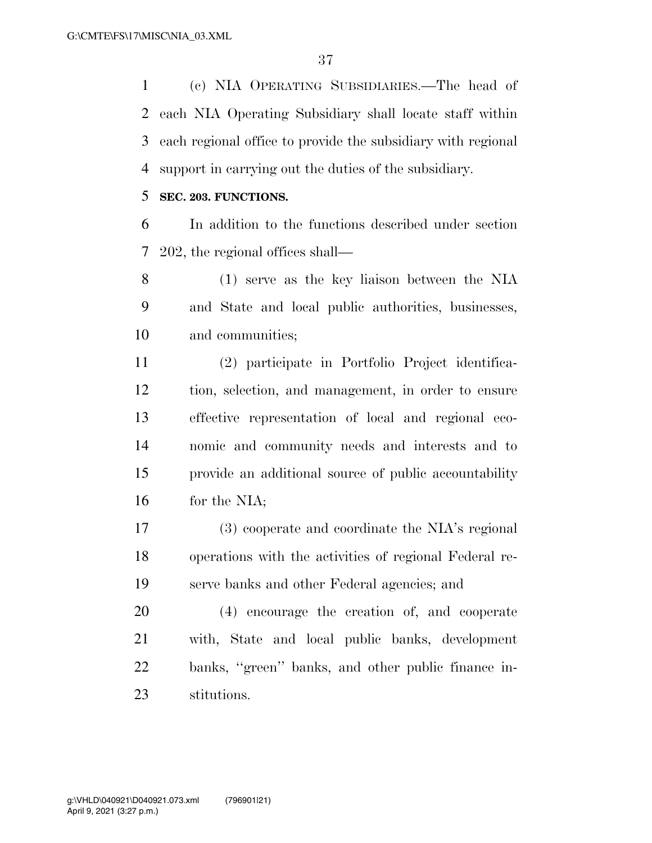(c) NIA OPERATING SUBSIDIARIES.—The head of each NIA Operating Subsidiary shall locate staff within each regional office to provide the subsidiary with regional support in carrying out the duties of the subsidiary.

## **SEC. 203. FUNCTIONS.**

 In addition to the functions described under section 202, the regional offices shall—

 (1) serve as the key liaison between the NIA and State and local public authorities, businesses, and communities;

 (2) participate in Portfolio Project identifica- tion, selection, and management, in order to ensure effective representation of local and regional eco- nomic and community needs and interests and to provide an additional source of public accountability for the NIA;

 (3) cooperate and coordinate the NIA's regional operations with the activities of regional Federal re-serve banks and other Federal agencies; and

 (4) encourage the creation of, and cooperate with, State and local public banks, development banks, ''green'' banks, and other public finance in-stitutions.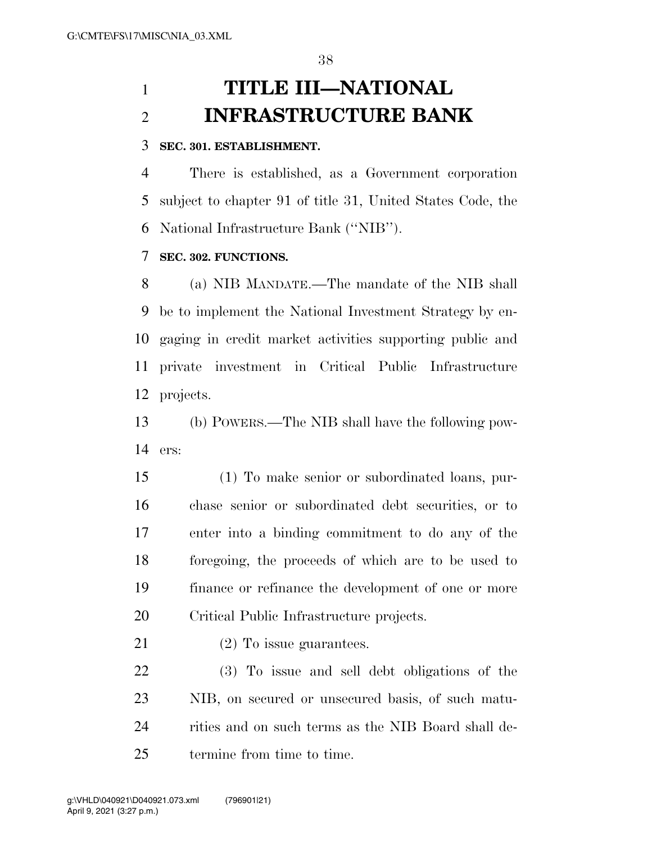# **TITLE III—NATIONAL INFRASTRUCTURE BANK**

## **SEC. 301. ESTABLISHMENT.**

 There is established, as a Government corporation subject to chapter 91 of title 31, United States Code, the National Infrastructure Bank (''NIB'').

## **SEC. 302. FUNCTIONS.**

 (a) NIB MANDATE.—The mandate of the NIB shall be to implement the National Investment Strategy by en- gaging in credit market activities supporting public and private investment in Critical Public Infrastructure projects.

 (b) POWERS.—The NIB shall have the following pow-ers:

 (1) To make senior or subordinated loans, pur- chase senior or subordinated debt securities, or to enter into a binding commitment to do any of the foregoing, the proceeds of which are to be used to finance or refinance the development of one or more Critical Public Infrastructure projects.

21 (2) To issue guarantees.

 (3) To issue and sell debt obligations of the NIB, on secured or unsecured basis, of such matu-24 rities and on such terms as the NIB Board shall de-termine from time to time.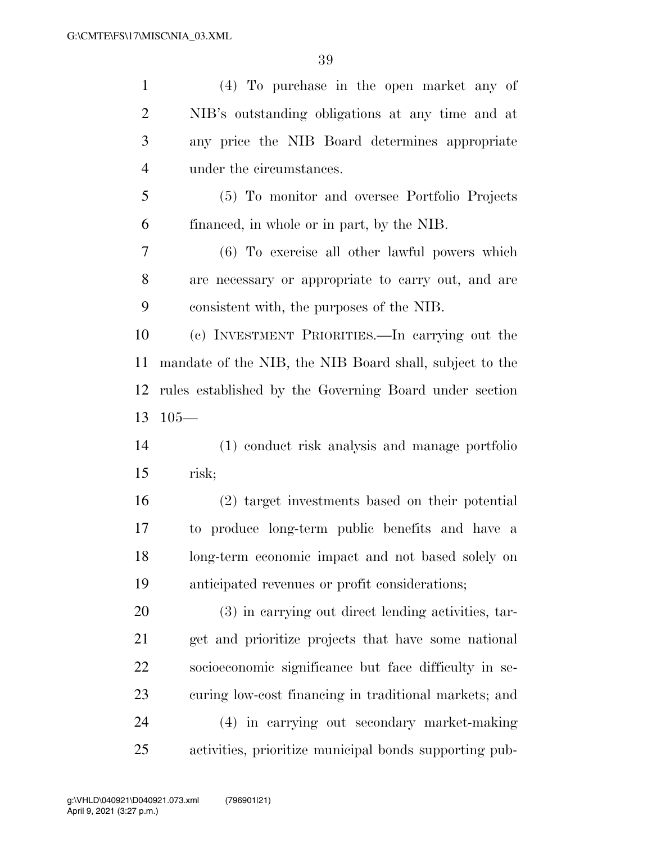| $\mathbf{1}$   | (4) To purchase in the open market any of               |
|----------------|---------------------------------------------------------|
| $\overline{2}$ | NIB's outstanding obligations at any time and at        |
| 3              | any price the NIB Board determines appropriate          |
| $\overline{4}$ | under the circumstances.                                |
| 5              | (5) To monitor and oversee Portfolio Projects           |
| 6              | financed, in whole or in part, by the NIB.              |
| 7              | (6) To exercise all other lawful powers which           |
| 8              | are necessary or appropriate to carry out, and are      |
| 9              | consistent with, the purposes of the NIB.               |
| 10             | (c) INVESTMENT PRIORITIES.—In carrying out the          |
| 11             | mandate of the NIB, the NIB Board shall, subject to the |
| 12             | rules established by the Governing Board under section  |
| 13             | $105-$                                                  |
| 14             | (1) conduct risk analysis and manage portfolio          |
| 15             | risk;                                                   |
| 16             | (2) target investments based on their potential         |
| 17             | to produce long-term public benefits and have a         |
| 18             | long-term economic impact and not based solely on       |
| 19             | anticipated revenues or profit considerations;          |
| 20             | (3) in carrying out direct lending activities, tar-     |
| 21             | get and prioritize projects that have some national     |
| 22             | socioeconomic significance but face difficulty in se-   |
| 23             | curing low-cost financing in traditional markets; and   |
| 24             | (4) in carrying out secondary market-making             |
| 25             | activities, prioritize municipal bonds supporting pub-  |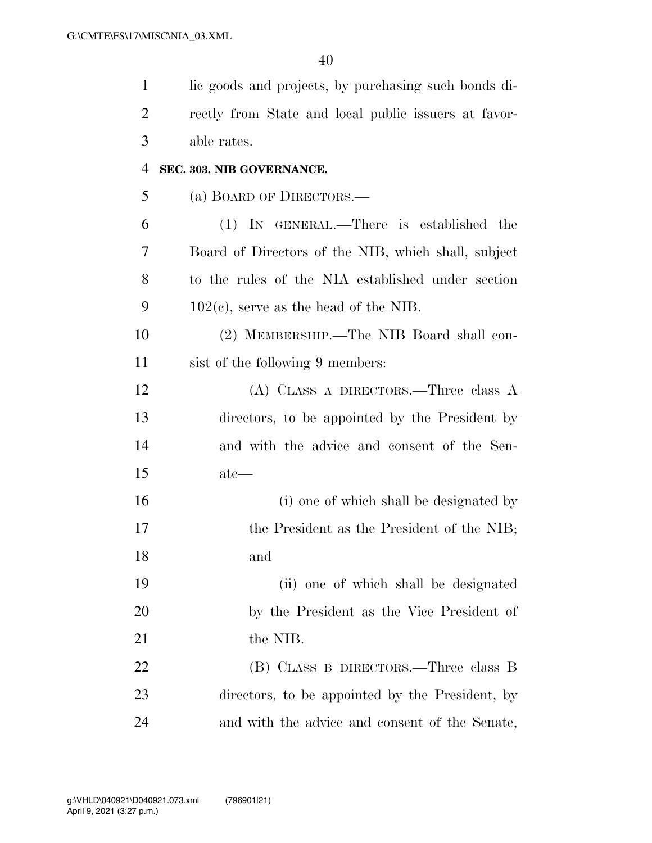| $\mathbf{1}$ | lic goods and projects, by purchasing such bonds di- |
|--------------|------------------------------------------------------|
| 2            | rectly from State and local public issuers at favor- |
| 3            | able rates.                                          |
| 4            | SEC. 303. NIB GOVERNANCE.                            |
| 5            | (a) BOARD OF DIRECTORS.—                             |
| 6            | (1) IN GENERAL.—There is established the             |
| 7            | Board of Directors of the NIB, which shall, subject  |
| 8            | to the rules of the NIA established under section    |
| 9            | $102(c)$ , serve as the head of the NIB.             |
| 10           | (2) MEMBERSHIP.—The NIB Board shall con-             |
| 11           | sist of the following 9 members:                     |
| 12           | (A) CLASS A DIRECTORS.—Three class A                 |
| 13           | directors, to be appointed by the President by       |
| 14           | and with the advice and consent of the Sen-          |
| 15           | $\text{ate}$ —                                       |
| 16           | (i) one of which shall be designated by              |
| 17           | the President as the President of the NIB;           |
| 18           | and                                                  |
| 19           | (ii) one of which shall be designated                |
| <b>20</b>    | by the President as the Vice President of            |
| 21           | the NIB.                                             |
| 22           | (B) CLASS B DIRECTORS.—Three class B                 |
| 23           | directors, to be appointed by the President, by      |
| 24           | and with the advice and consent of the Senate,       |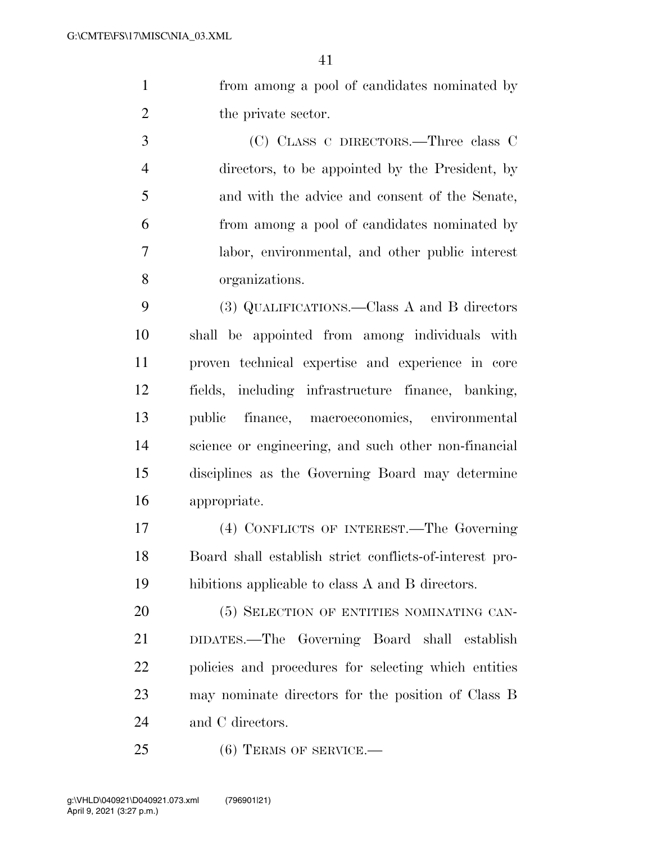from among a pool of candidates nominated by 2 the private sector.

 (C) CLASS C DIRECTORS.—Three class C directors, to be appointed by the President, by and with the advice and consent of the Senate, from among a pool of candidates nominated by labor, environmental, and other public interest organizations.

 (3) QUALIFICATIONS.—Class A and B directors shall be appointed from among individuals with proven technical expertise and experience in core fields, including infrastructure finance, banking, public finance, macroeconomics, environmental science or engineering, and such other non-financial disciplines as the Governing Board may determine appropriate.

 (4) CONFLICTS OF INTEREST.—The Governing Board shall establish strict conflicts-of-interest pro-hibitions applicable to class A and B directors.

20 (5) SELECTION OF ENTITIES NOMINATING CAN- DIDATES.—The Governing Board shall establish policies and procedures for selecting which entities may nominate directors for the position of Class B 24 and C directors.

25 (6) TERMS OF SERVICE.—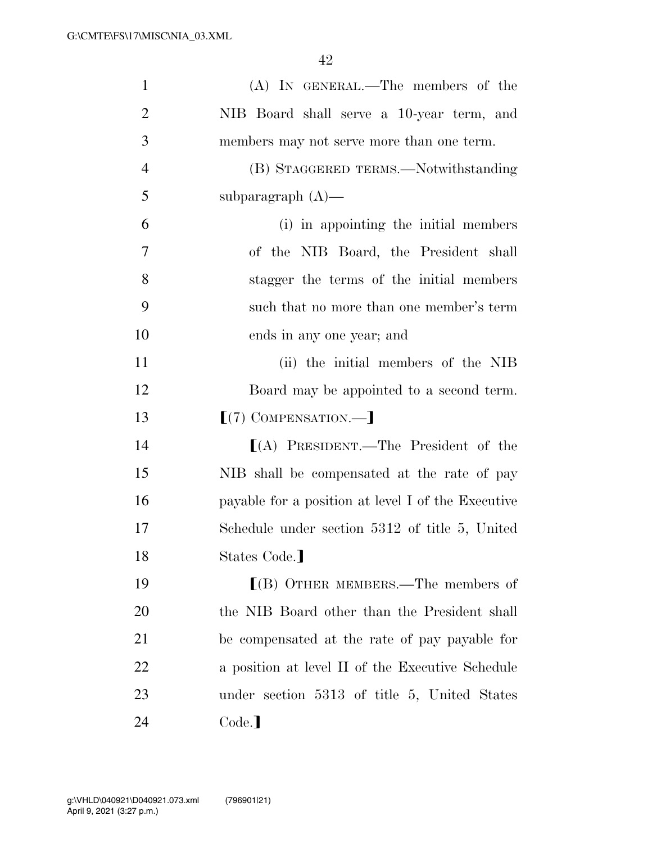| $\mathbf{1}$   | (A) IN GENERAL.—The members of the                 |
|----------------|----------------------------------------------------|
| $\overline{2}$ | NIB Board shall serve a 10-year term, and          |
| 3              | members may not serve more than one term.          |
| $\overline{4}$ | (B) STAGGERED TERMS.—Notwithstanding               |
| 5              | subparagraph $(A)$ —                               |
| 6              | (i) in appointing the initial members              |
| 7              | of the NIB Board, the President shall              |
| 8              | stagger the terms of the initial members           |
| 9              | such that no more than one member's term           |
| 10             | ends in any one year; and                          |
| 11             | (ii) the initial members of the NIB                |
| 12             | Board may be appointed to a second term.           |
| 13             | $[(7)$ COMPENSATION.—                              |
| 14             | $(A)$ PRESIDENT.—The President of the              |
| 15             | NIB shall be compensated at the rate of pay        |
| 16             | payable for a position at level I of the Executive |
| 17             | Schedule under section 5312 of title 5, United     |
| 18             | States Code.]                                      |
| 19             | $\lfloor$ (B) OTHER MEMBERS.—The members of        |
| 20             | the NIB Board other than the President shall       |
| 21             | be compensated at the rate of pay payable for      |
| 22             | a position at level II of the Executive Schedule   |
| 23             | under section 5313 of title 5, United States       |
| 24             | Code.                                              |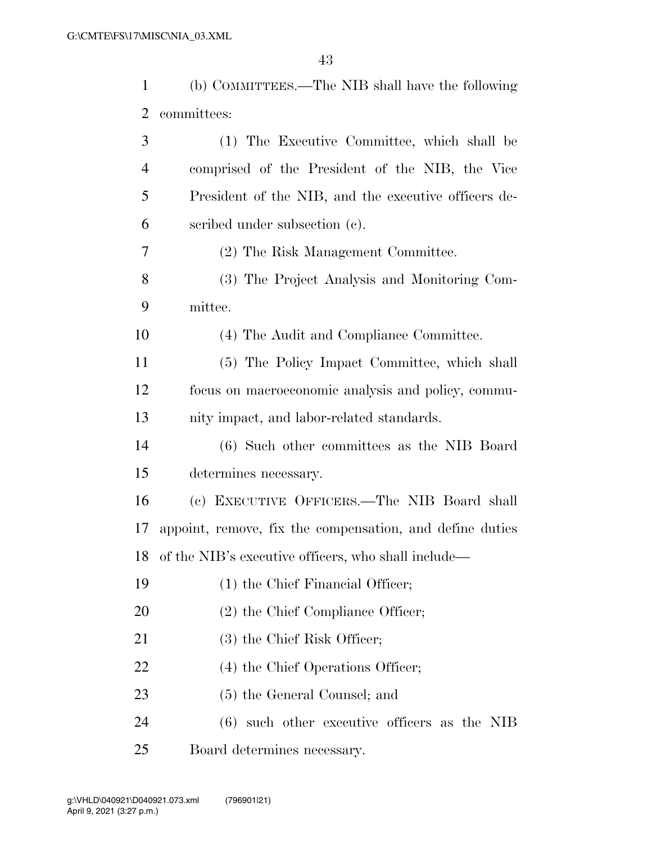| 1  | (b) COMMITTEES.—The NIB shall have the following         |
|----|----------------------------------------------------------|
| 2  | committees:                                              |
| 3  | (1) The Executive Committee, which shall be              |
| 4  | comprised of the President of the NIB, the Vice          |
| 5  | President of the NIB, and the executive officers de-     |
| 6  | scribed under subsection (c).                            |
| 7  | (2) The Risk Management Committee.                       |
| 8  | (3) The Project Analysis and Monitoring Com-             |
| 9  | mittee.                                                  |
| 10 | (4) The Audit and Compliance Committee.                  |
| 11 | (5) The Policy Impact Committee, which shall             |
| 12 | focus on macroeconomic analysis and policy, commu-       |
| 13 | nity impact, and labor-related standards.                |
| 14 | (6) Such other committees as the NIB Board               |
| 15 | determines necessary.                                    |
| 16 | (c) EXECUTIVE OFFICERS.—The NIB Board shall              |
| 17 | appoint, remove, fix the compensation, and define duties |
|    | 18 of the NIB's executive officers, who shall include—   |
| 19 | (1) the Chief Financial Officer;                         |
| 20 | $(2)$ the Chief Compliance Officer;                      |
| 21 | (3) the Chief Risk Officer;                              |
| 22 | (4) the Chief Operations Officer;                        |
| 23 | (5) the General Counsel; and                             |
| 24 | $(6)$ such other executive officers as the NIB           |
| 25 | Board determines necessary.                              |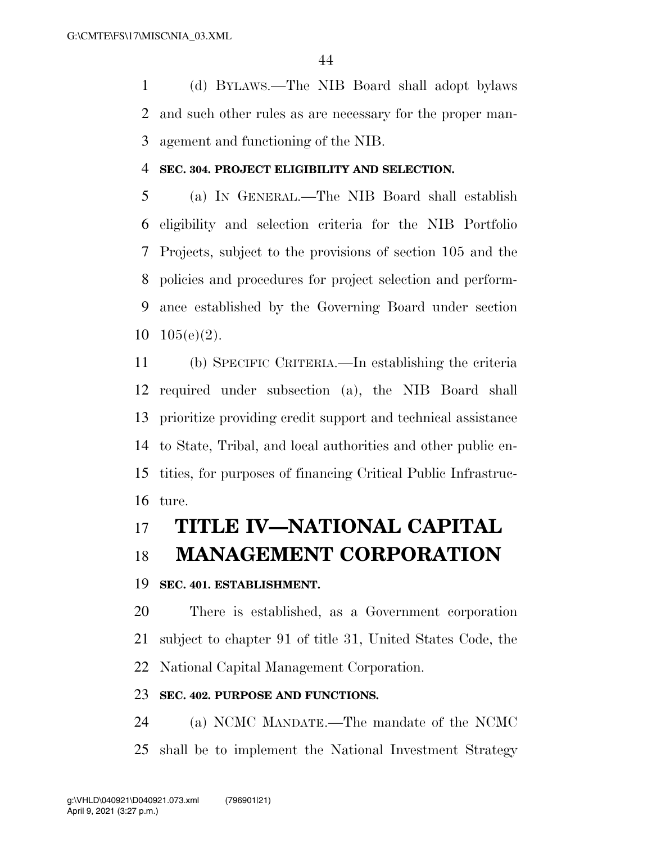(d) BYLAWS.—The NIB Board shall adopt bylaws and such other rules as are necessary for the proper man-agement and functioning of the NIB.

### **SEC. 304. PROJECT ELIGIBILITY AND SELECTION.**

 (a) IN GENERAL.—The NIB Board shall establish eligibility and selection criteria for the NIB Portfolio Projects, subject to the provisions of section 105 and the policies and procedures for project selection and perform- ance established by the Governing Board under section 105(e)(2).

 (b) SPECIFIC CRITERIA.—In establishing the criteria required under subsection (a), the NIB Board shall prioritize providing credit support and technical assistance to State, Tribal, and local authorities and other public en- tities, for purposes of financing Critical Public Infrastruc-ture.

# **TITLE IV—NATIONAL CAPITAL**

# **MANAGEMENT CORPORATION**

### **SEC. 401. ESTABLISHMENT.**

 There is established, as a Government corporation subject to chapter 91 of title 31, United States Code, the National Capital Management Corporation.

### **SEC. 402. PURPOSE AND FUNCTIONS.**

 (a) NCMC MANDATE.—The mandate of the NCMC shall be to implement the National Investment Strategy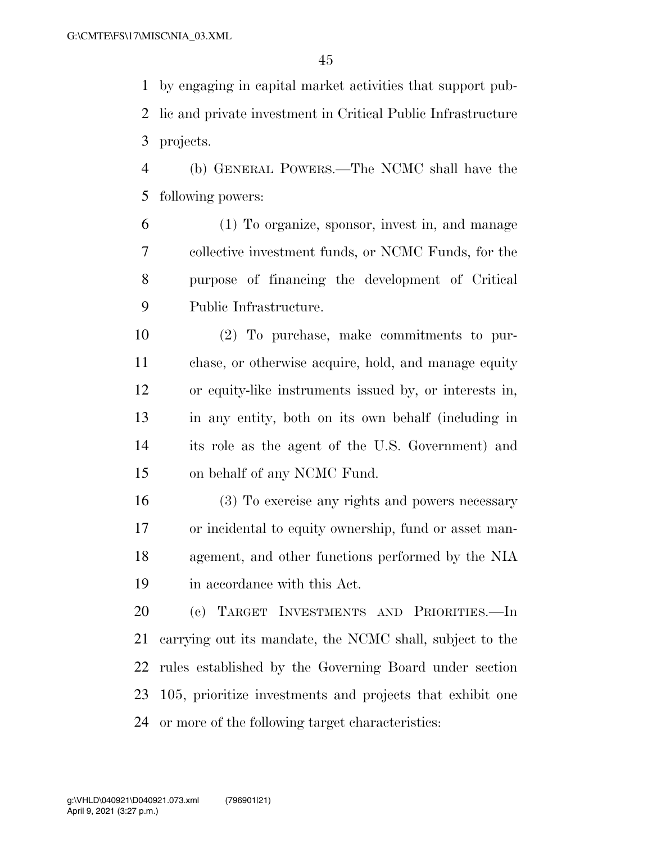by engaging in capital market activities that support pub- lic and private investment in Critical Public Infrastructure projects.

 (b) GENERAL POWERS.—The NCMC shall have the following powers:

 (1) To organize, sponsor, invest in, and manage collective investment funds, or NCMC Funds, for the purpose of financing the development of Critical Public Infrastructure.

 (2) To purchase, make commitments to pur- chase, or otherwise acquire, hold, and manage equity or equity-like instruments issued by, or interests in, in any entity, both on its own behalf (including in its role as the agent of the U.S. Government) and on behalf of any NCMC Fund.

 (3) To exercise any rights and powers necessary or incidental to equity ownership, fund or asset man- agement, and other functions performed by the NIA in accordance with this Act.

 (c) TARGET INVESTMENTS AND PRIORITIES.—In carrying out its mandate, the NCMC shall, subject to the rules established by the Governing Board under section 105, prioritize investments and projects that exhibit one or more of the following target characteristics: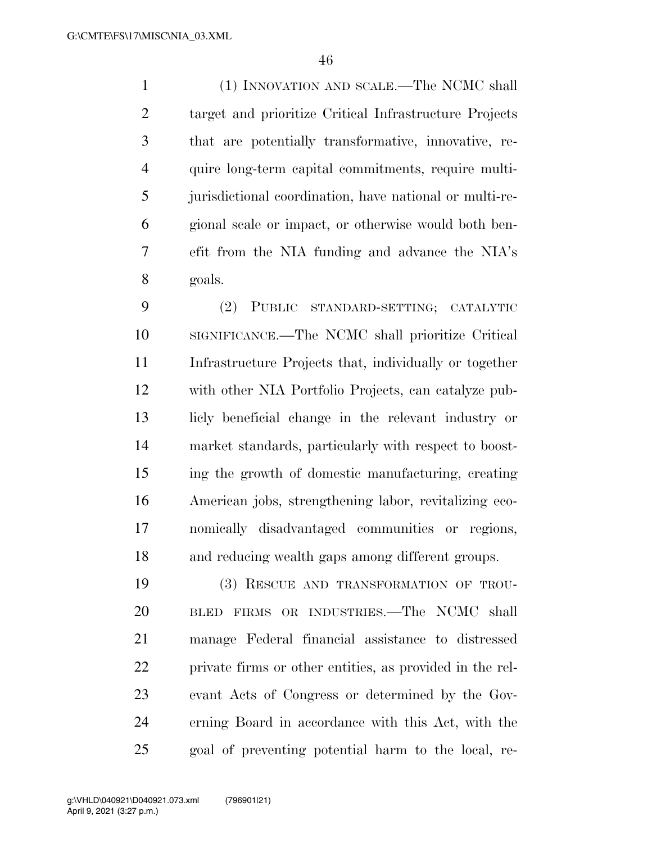(1) INNOVATION AND SCALE.—The NCMC shall target and prioritize Critical Infrastructure Projects that are potentially transformative, innovative, re- quire long-term capital commitments, require multi- jurisdictional coordination, have national or multi-re- gional scale or impact, or otherwise would both ben- efit from the NIA funding and advance the NIA's goals.

 (2) PUBLIC STANDARD-SETTING; CATALYTIC SIGNIFICANCE.—The NCMC shall prioritize Critical Infrastructure Projects that, individually or together with other NIA Portfolio Projects, can catalyze pub- licly beneficial change in the relevant industry or market standards, particularly with respect to boost- ing the growth of domestic manufacturing, creating American jobs, strengthening labor, revitalizing eco- nomically disadvantaged communities or regions, and reducing wealth gaps among different groups.

 (3) RESCUE AND TRANSFORMATION OF TROU- BLED FIRMS OR INDUSTRIES.—The NCMC shall manage Federal financial assistance to distressed private firms or other entities, as provided in the rel- evant Acts of Congress or determined by the Gov- erning Board in accordance with this Act, with the goal of preventing potential harm to the local, re-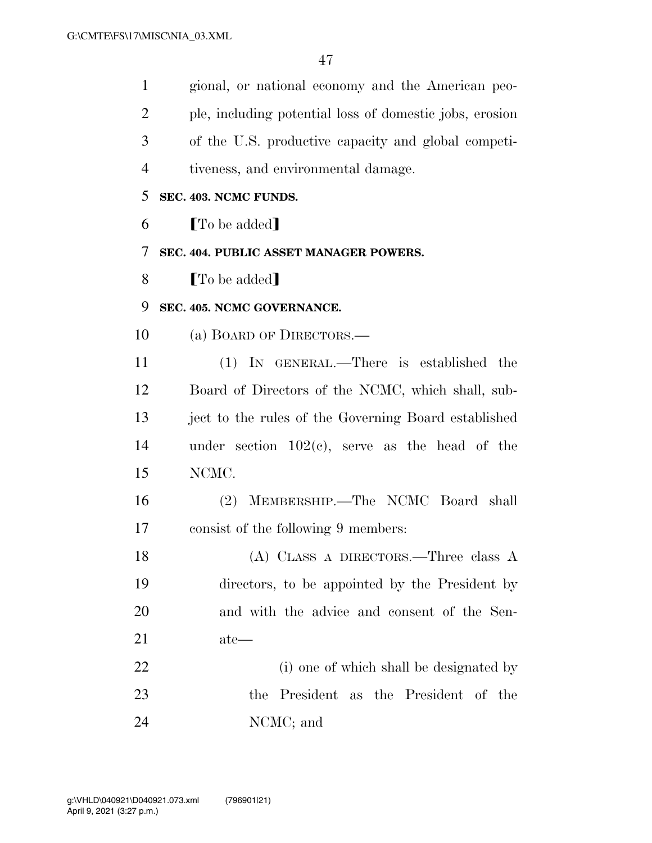| $\mathbf{1}$   | gional, or national economy and the American peo-       |
|----------------|---------------------------------------------------------|
| $\overline{2}$ | ple, including potential loss of domestic jobs, erosion |
| 3              | of the U.S. productive capacity and global competi-     |
| $\overline{4}$ | tiveness, and environmental damage.                     |
| 5              | SEC. 403. NCMC FUNDS.                                   |
| 6              | <b>[To be added]</b>                                    |
| 7              | SEC. 404. PUBLIC ASSET MANAGER POWERS.                  |
| 8              | [To be added]                                           |
| 9              | SEC. 405. NCMC GOVERNANCE.                              |
| 10             | (a) BOARD OF DIRECTORS.—                                |
| 11             | (1) IN GENERAL.—There is established the                |
| 12             | Board of Directors of the NCMC, which shall, sub-       |
| 13             | ject to the rules of the Governing Board established    |
| 14             | under section $102(c)$ , serve as the head of the       |
| 15             | NCMC.                                                   |
| 16             | (2) MEMBERSHIP.-The NCMC Board shall                    |
| 17             | consist of the following 9 members:                     |
| 18             | $(A)$ CLASS A DIRECTORS.—Three class A                  |
| 19             | directors, to be appointed by the President by          |
| 20             | and with the advice and consent of the Sen-             |
| 21             | ate—                                                    |
| 22             | (i) one of which shall be designated by                 |
| 23             | President as the President of the<br>the                |
| 24             | NCMC; and                                               |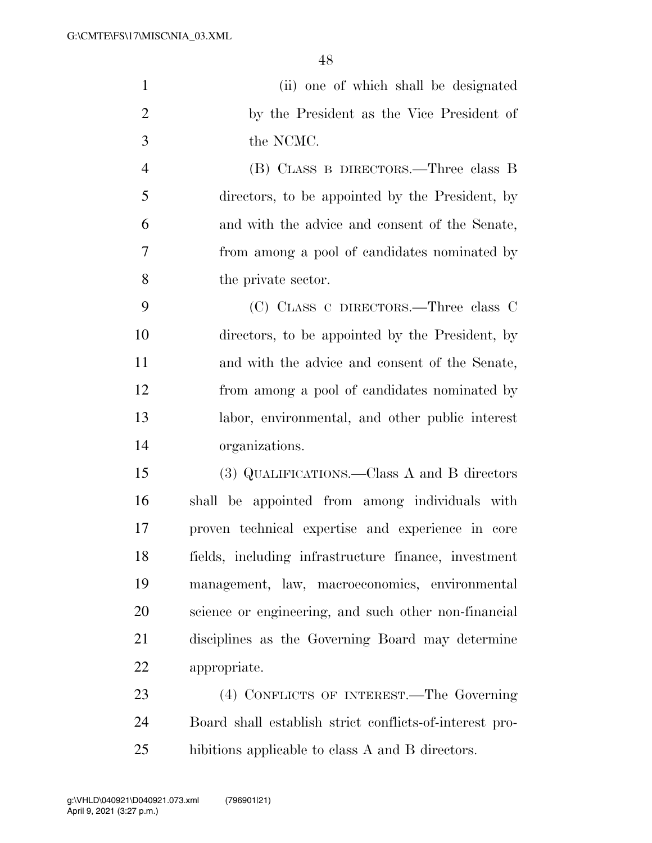| $\mathbf{1}$   | (ii) one of which shall be designated                   |
|----------------|---------------------------------------------------------|
| $\overline{2}$ | by the President as the Vice President of               |
| 3              | the NCMC.                                               |
| $\overline{4}$ | (B) CLASS B DIRECTORS.—Three class B                    |
| 5              | directors, to be appointed by the President, by         |
| 6              | and with the advice and consent of the Senate,          |
| $\overline{7}$ | from among a pool of candidates nominated by            |
| 8              | the private sector.                                     |
| 9              | (C) CLASS C DIRECTORS.—Three class C                    |
| 10             | directors, to be appointed by the President, by         |
| 11             | and with the advice and consent of the Senate,          |
| 12             | from among a pool of candidates nominated by            |
| 13             | labor, environmental, and other public interest         |
| 14             | organizations.                                          |
| 15             | (3) QUALIFICATIONS.—Class A and B directors             |
| 16             | shall be appointed from among individuals with          |
| 17             | proven technical expertise and experience in core       |
| 18             | fields, including infrastructure finance, investment    |
| 19             | management, law, macroeconomics, environmental          |
| 20             | science or engineering, and such other non-financial    |
| 21             | disciplines as the Governing Board may determine        |
| 22             | appropriate.                                            |
| 23             | (4) CONFLICTS OF INTEREST.—The Governing                |
| 24             | Board shall establish strict conflicts-of-interest pro- |
| $25\,$         | hibitions applicable to class A and B directors.        |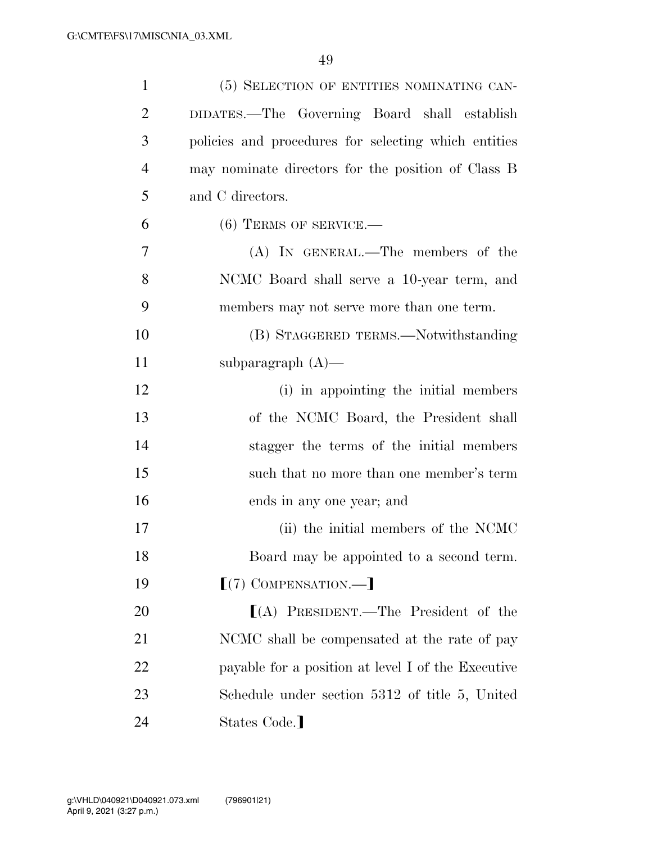| $\mathbf{1}$   | (5) SELECTION OF ENTITIES NOMINATING CAN-            |
|----------------|------------------------------------------------------|
| $\overline{2}$ | DIDATES.-The Governing Board shall establish         |
| 3              | policies and procedures for selecting which entities |
| $\overline{4}$ | may nominate directors for the position of Class B   |
| 5              | and C directors.                                     |
| 6              | $(6)$ TERMS OF SERVICE.—                             |
| 7              | (A) IN GENERAL.—The members of the                   |
| 8              | NCMC Board shall serve a 10-year term, and           |
| 9              | members may not serve more than one term.            |
| 10             | (B) STAGGERED TERMS.—Notwithstanding                 |
| 11             | subparagraph $(A)$ —                                 |
| 12             | (i) in appointing the initial members                |
| 13             | of the NCMC Board, the President shall               |
| 14             | stagger the terms of the initial members             |
| 15             | such that no more than one member's term             |
| 16             | ends in any one year; and                            |
| 17             | (ii) the initial members of the NCMC                 |
| 18             | Board may be appointed to a second term.             |
| 19             | $[(7)$ COMPENSATION.—                                |
| 20             | $[(A)$ PRESIDENT.—The President of the               |
| 21             | NCMC shall be compensated at the rate of pay         |
| 22             | payable for a position at level I of the Executive   |
| 23             | Schedule under section 5312 of title 5, United       |
| 24             | States Code.]                                        |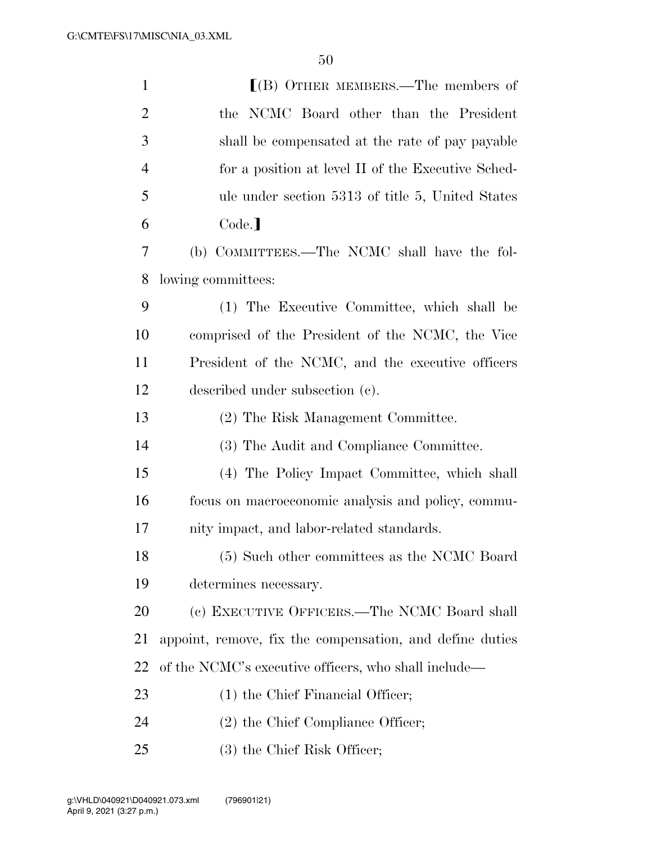| $\mathbf{1}$   | $[(B)$ OTHER MEMBERS.—The members of                     |
|----------------|----------------------------------------------------------|
| $\overline{2}$ | the NCMC Board other than the President                  |
| 3              | shall be compensated at the rate of pay payable          |
| $\overline{4}$ | for a position at level II of the Executive Sched-       |
| 5              | ule under section 5313 of title 5, United States         |
| 6              | Code.]                                                   |
| $\overline{7}$ | (b) COMMITTEES.—The NCMC shall have the fol-             |
| 8              | lowing committees:                                       |
| 9              | (1) The Executive Committee, which shall be              |
| 10             | comprised of the President of the NCMC, the Vice         |
| 11             | President of the NCMC, and the executive officers        |
| 12             | described under subsection (c).                          |
| 13             | (2) The Risk Management Committee.                       |
| 14             | (3) The Audit and Compliance Committee.                  |
| 15             | (4) The Policy Impact Committee, which shall             |
| 16             | focus on macroeconomic analysis and policy, commu-       |
| 17             | nity impact, and labor-related standards.                |
| 18             | (5) Such other committees as the NCMC Board              |
| 19             | determines necessary.                                    |
| 20             | (c) EXECUTIVE OFFICERS.—The NCMC Board shall             |
| 21             | appoint, remove, fix the compensation, and define duties |
| 22             | of the NCMC's executive officers, who shall include—     |
| 23             | $(1)$ the Chief Financial Officer;                       |
| 24             | $(2)$ the Chief Compliance Officer;                      |
| 25             | (3) the Chief Risk Officer;                              |